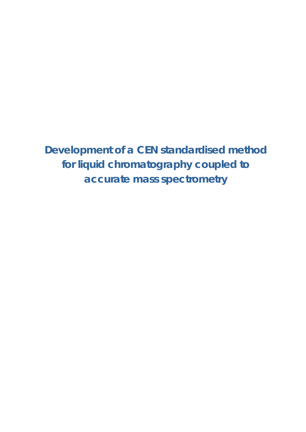**Development of a CEN standardised method for liquid chromatography coupled to accurate mass spectrometry**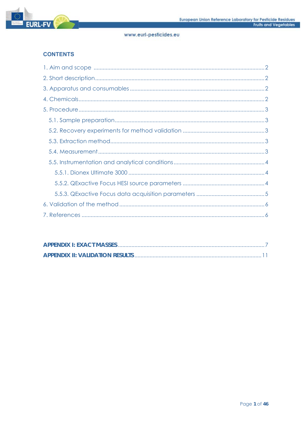

# **CONTENTS**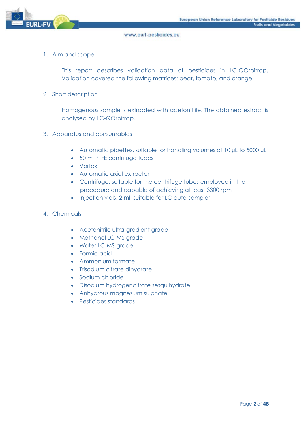

1. Aim and scope

This report describes validation data of pesticides in LC-QOrbitrap. Validation covered the following matrices: pear, tomato, and orange.

2. Short description

Homogenous sample is extracted with acetonitrile. The obtained extract is analysed by LC-QOrbitrap.

- 3. Apparatus and consumables
	- Automatic pipettes, suitable for handling volumes of 10 µL to 5000 µL
	- 50 ml PTFE centrifuge tubes
	- Vortex
	- Automatic axial extractor
	- Centrifuge, suitable for the centrifuge tubes employed in the procedure and capable of achieving at least 3300 rpm
	- Injection vials, 2 ml, suitable for LC auto-sampler
- 4. Chemicals
	- Acetonitrile ultra-gradient grade
	- Methanol LC-MS grade
	- Water LC-MS grade
	- Formic acid
	- Ammonium formate
	- Trisodium citrate dihydrate
	- Sodium chloride
	- Disodium hydrogencitrate sesquihydrate
	- Anhydrous magnesium sulphate
	- Pesticides standards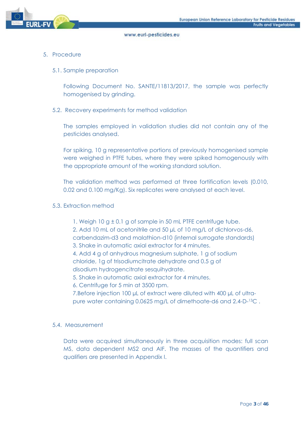

- 5. Procedure
	- 5.1. Sample preparation

Following Document No. SANTE/11813/2017, the sample was perfectly homogenised by grinding.

## 5.2. Recovery experiments for method validation

The samples employed in validation studies did not contain any of the pesticides analysed.

For spiking, 10 g representative portions of previously homogenised sample were weighed in PTFE tubes, where they were spiked homogenously with the appropriate amount of the working standard solution.

The validation method was performed at three fortification levels (0.010, 0.02 and 0.100 mg/Kg). Six replicates were analysed at each level.

#### 5.3. Extraction method

- 1. Weigh 10 g ± 0.1 g of sample in 50 mL PTFE centrifuge tube. 2. Add 10 mL of acetonitrile and 50 µL of 10 mg/L of dichlorvos-d6, carbendazim-d3 and malathion-d10 (internal surrogate standards) 3. Shake in automatic axial extractor for 4 minutes. 4. Add 4 g of anhydrous magnesium sulphate, 1 g of sodium chloride, 1g of trisodiumcitrate dehydrate and 0.5 g of disodium hydrogencitrate sesquihydrate. 5. Shake in automatic axial extractor for 4 minutes. 6. Centrifuge for 5 min at 3500 rpm. 7.Before injection 100 µL of extract were diluted with 400 µL of ultrapure water containing 0.0625 mg/L of dimethoate-d6 and 2.4-D-13C .
- 5.4. Measurement

Data were acquired simultaneously in three acquisition modes: full scan MS, data dependent MS2 and AIF. The masses of the quantifiers and qualifiers are presented in Appendix I.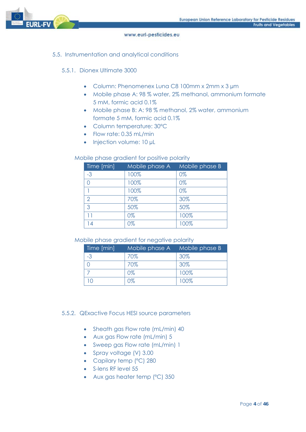

## 5.5. Instrumentation and analytical conditions

## 5.5.1. Dionex Ultimate 3000

- Column: Phenomenex Luna C8 100mm x 2mm x 3 µm
- Mobile phase A: 98 % water, 2% methanol, ammonium formate 5 mM, formic acid 0.1%
- Mobile phase B: A: 98 % methanol, 2% water, ammonium formate 5 mM, formic acid 0.1%
- Column temperature: 30ºC
- Flow rate: 0.35 mL/min
- $\bullet$  Injection volume: 10 µL

## Mobile phase gradient for positive polarity

| Time [min] | Mobile phase A | Mobile phase B |
|------------|----------------|----------------|
| $-3$       | 100%           | 0%             |
|            | 100%           | 0%             |
|            | 100%           | 0%             |
| 2          | 70%            | 30%            |
| 3          | 50%            | 50%            |
| 11         | 0%             | 100%           |
| 14         | 0%             | 100%           |

#### Mobile phase gradient for negative polarity

| Time [min] | Mobile phase A | Mobile phase B |
|------------|----------------|----------------|
|            | 70%            | 30%            |
|            | 70%            | 30%            |
|            | 0%             | 100%           |
|            | 0%             | 100%           |

#### 5.5.2. QExactive Focus HESI source parameters

- Sheath aas Flow rate (mL/min) 40
- Aux gas Flow rate (mL/min) 5
- Sweep gas Flow rate (mL/min) 1
- Spray voltage (V) 3.00
- Capilary temp (°C) 280
- S-lens RF level 55
- Aux gas heater temp (°C) 350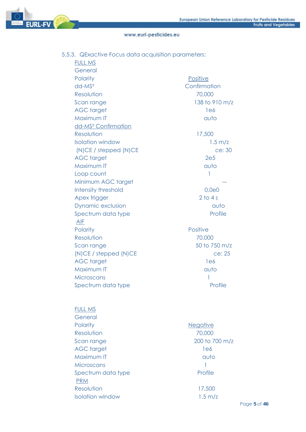**EURL-FV** 

www.eurl-pesticides.eu

# 5.5.3. QExactive Focus data acquisition parameters:

FULL MS

| General                         |                    |
|---------------------------------|--------------------|
| Polarity                        | Positive           |
| $dd$ - $MS2$                    | Confirmation       |
| Resolution                      | 70,000             |
| Scan range                      | 138 to 910 m/z     |
| <b>AGC</b> target               | 1e6                |
| Maximum IT                      | auto               |
| dd-MS <sup>2</sup> Confirmation |                    |
| Resolution                      | 17,500             |
| <b>Isolation window</b>         | $1.5 \text{ m/z}$  |
| (N)CE / stepped (N)CE           | ce: 30             |
| <b>AGC</b> target               | 2e5                |
| Maximum IT                      | auto               |
| Loop count                      | 1                  |
| Minimum AGC target              |                    |
| Intensity threshold             | 0.0 <sub>e</sub> 0 |
| Apex trigger                    | $2$ to 4 s         |
| Dynamic exclusion               | auto               |
| Spectrum data type              | Profile            |
| <b>AIF</b>                      |                    |
| Polarity                        | <b>Positive</b>    |
| Resolution                      | 70,000             |
| Scan range                      | 50 to 750 m/z      |
| (N)CE / stepped (N)CE           | ce: 25             |
| <b>AGC</b> target               | 1e6                |
| Maximum IT                      | auto               |
| Microscans                      | 1                  |
| Spectrum data type              | Profile            |
|                                 |                    |
| <b>FULL MS</b>                  |                    |

| General                 |                   |
|-------------------------|-------------------|
| Polarity                | <b>Negative</b>   |
| Resolution              | 70,000            |
| Scan range              | 200 to 700 m/z    |
| <b>AGC</b> target       | 1e6               |
| Maximum IT              | auto              |
| Microscans              |                   |
| Spectrum data type      | Profile           |
| <b>PRM</b>              |                   |
| Resolution              | 17,500            |
| <b>Isolation window</b> | $1.5 \text{ m/z}$ |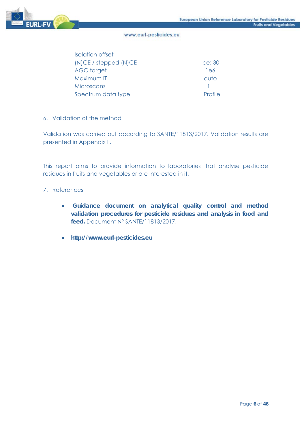

| Isolation offset      |                |
|-----------------------|----------------|
| (N)CE / stepped (N)CE | ce: 30         |
| <b>AGC</b> target     | 1e6            |
| Maximum IT            | auto           |
| Microscans            |                |
| Spectrum data type    | <b>Profile</b> |

## 6. Validation of the method

Validation was carried out according to SANTE/11813/2017. Validation results are presented in Appendix II.

This report aims to provide information to laboratories that analyse pesticide residues in fruits and vegetables or are interested in it.

## 7. References

- **Guidance document on analytical quality control and method validation procedures for pesticide residues and analysis in food and feed.** Document Nº SANTE/11813/2017.
- **http://www.eurl-pesticides.eu**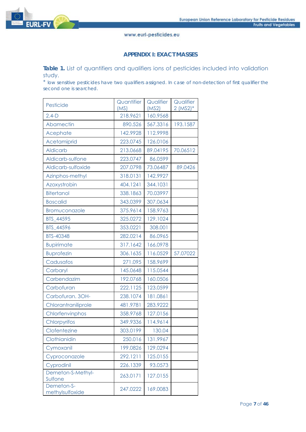

### **APPENDIX I: EXACT MASSES**

Table 1. List of quantifiers and qualifiers ions of pesticides included into validation study.

\* *low sensitive pesticides have two qualifiers assigned. In case of non-detection of first qualifier the second one is searched.*

| Pesticide                     | Quantifier<br>(MS) | Qualifier<br>(MS2) | Qualifier<br>$2 (MS2)*$ |
|-------------------------------|--------------------|--------------------|-------------------------|
| $2.4-D$                       | 218.9621           | 160.9568           |                         |
| Abamectin                     | 890.526            | 567.3316           | 193.1587                |
| Acephate                      | 142.9928           | 112.9998           |                         |
| Acetamiprid                   | 223.0745           | 126.0106           |                         |
| <b>Aldicarb</b>               | 213.0668           | 89.04195           | 70.06512                |
| Aldicarb-sulfone              | 223.0747           | 86.0599            |                         |
| Aldicarb-sulfoxide            | 207.0798           | 73.06487           | 89.0426                 |
| Azinphos-methyl               | 318.0131           | 142.9927           |                         |
| Azoxystrobin                  | 404.1241           | 344.1031           |                         |
| <b>Bitertanol</b>             | 338.1863           | 70.03997           |                         |
| <b>Boscalid</b>               | 343.0399           | 307.0634           |                         |
| Bromuconazole                 | 375.9614           | 158.9763           |                         |
| BTS 44595                     | 325.0272           | 129.1024           |                         |
| BTS_44596                     | 353.0221           | 308.001            |                         |
| BTS-40348                     | 282.0214           | 86.0965            |                         |
| <b>Bupirimate</b>             | 317.1642           | 166.0978           |                         |
| <b>Buprofezin</b>             | 306.1635           | 116.0529           | 57.07022                |
| Cadusafos                     | 271.095            | 158.9699           |                         |
| Carbaryl                      | 145.0648           | 115.0544           |                         |
| Carbendazim                   | 192.0768           | 160.0506           |                         |
| Carbofuran                    | 222.1125           | 123.0599           |                         |
| Carbofuran. 3OH-              | 238.1074           | 181.0861           |                         |
| Chlorantraniliprole           | 481.9781           | 283.9222           |                         |
| Chlorfenvinphos               | 358.9768           | 127.0156           |                         |
| Chlorpyrifos                  | 349.9336           | 114.9614           |                         |
| Clofentezine                  | 303.0199           | 130.04             |                         |
| Clothianidin                  | 250.016            | 131.9967           |                         |
| Cymoxanil                     | 199.0826           | 129.0294           |                         |
| Cyproconazole                 | 292.1211           | 125.0155           |                         |
| Cyprodinil                    | 226.1339           | 93.0573            |                         |
| Demeton-S-Methyl-<br>Sulfone  | 263.0171           | 127.0155           |                         |
| Demeton-S-<br>methylsulfoxide | 247.0222           | 169.0083           |                         |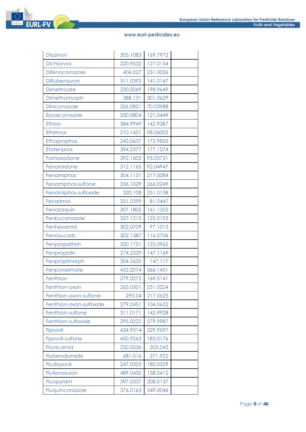| Diazinon                | 305.1083 | 169.7972 |  |
|-------------------------|----------|----------|--|
| <b>Dichlorvos</b>       | 220.9532 | 127.0154 |  |
| Difenoconazole          | 406.027  | 251.0026 |  |
| Diflubenzuron           | 311.0393 | 141.0147 |  |
| Dimethoate              | 230.0069 | 198.9649 |  |
| Dimethomorph            | 388.131  | 301.0629 |  |
| Diniconazole            | 326.0821 | 70.03988 |  |
| Epoxiconazole           | 330.0804 | 121.0449 |  |
| Ethion                  | 384.9949 | 142.9387 |  |
| Ethirimol               | 210.1601 | 98.06002 |  |
| Ethoprophos             | 243.0637 | 172.9855 |  |
| Etofenprox              | 394.2377 | 177.1274 |  |
| Famoxadone              | 392.1605 | 93.05731 |  |
| Fenamidone              | 312.1165 | 92.04947 |  |
| Fenamiphos              | 304.1131 | 217.0084 |  |
| Fenamiphos-sulfone      | 336.1029 | 266.0249 |  |
| Fenamiphos-sulfoxide    | 320.108  | 251.0138 |  |
| Fenarimol               | 331.0399 | 81.0447  |  |
| Fenazaquin              | 307.1805 | 161.1325 |  |
| Fenbuconazole           | 337.1215 | 125.0153 |  |
| Fenhexamid              | 302.0709 | 97.1013  |  |
| Fenoxycarb              | 302.1387 | 116.0706 |  |
| Fenpropathrin           | 350.1751 | 125.0962 |  |
| Fenpropidin             | 274.2529 | 147.1169 |  |
| Fenpropimorph           | 304.2635 | 147.117  |  |
| Fenpyroximate           | 422.2074 | 366.1451 |  |
| Fenthion                | 279.0273 | 169.0141 |  |
| Fenthion-oxon           | 263.0501 | 231.0224 |  |
| Fenthion-oxon-sulfone   | 295.04   | 217.0625 |  |
| Fenthion-oxon-sulfoxide | 279.0451 | 104.0622 |  |
| Fenthion-sulfone        | 311.0171 | 142.9928 |  |
| Fenthion-sulfoxide      | 295.0222 | 279.9987 |  |
| Fipronil                | 434.9314 | 329.9597 |  |
| Fipronil-sulfone        | 450.9263 | 183.0176 |  |
| Flonicamid              | 230.0536 | 203.043  |  |
| Flubendiamide           | 681.016  | 271.922  |  |
| Fludioxonil             | 247.0325 | 180.0329 |  |
| Flufenoxuron            | 489.0435 | 158.0412 |  |
| Fluopyram               | 397.0537 | 208.0137 |  |
| Fluquinconazole         | 376.0163 | 349.0046 |  |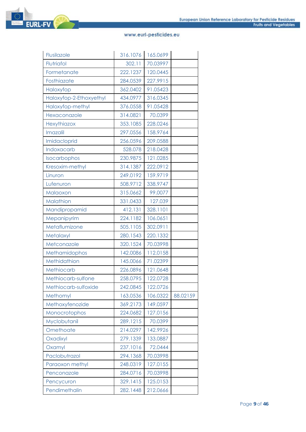| Flusilazole             | 316.1076 | 165.0699 |          |
|-------------------------|----------|----------|----------|
| Flutriafol              | 302.11   | 70.03997 |          |
| Formetanate             | 222.1237 | 120.0445 |          |
| Fosthiazate             | 284.0539 | 227.9915 |          |
| Haloxyfop               | 362.0402 | 91.05423 |          |
| Haloxyfop-2-Ethoxyethyl | 434.0977 | 316.0345 |          |
| Haloxyfop-methyl        | 376.0558 | 91.05428 |          |
| Hexaconazole            | 314.0821 | 70.0399  |          |
| Hexythiazox             | 353.1085 | 228.0246 |          |
| Imazalil                | 297.0556 | 158.9764 |          |
| Imidacloprid            | 256.0596 | 209.0588 |          |
| Indoxacarb              | 528.078  | 218.0428 |          |
| Isocarbophos            | 230.9875 | 121.0285 |          |
| Kresoxim-methyl         | 314.1387 | 222.0912 |          |
| Linuron                 | 249.0192 | 159.9719 |          |
| Lufenuron               | 508.9712 | 338.9747 |          |
| Malaoxon                | 315.0662 | 99.0077  |          |
| Malathion               | 331.0433 | 127.039  |          |
| Mandipropamid           | 412.131  | 328.1101 |          |
| Mepanipyrim             | 224.1182 | 106.0651 |          |
| Metaflumizone           | 505.1105 | 302.0911 |          |
| Metalaxyl               | 280.1543 | 220.1332 |          |
| Metconazole             | 320.1524 | 70.03998 |          |
| Methamidophos           | 142.0086 | 112.0158 |          |
| Methidathion            | 145.0066 | 71.02399 |          |
| Methiocarb              | 226.0896 | 121.0648 |          |
| Methiocarb-sulfone      | 258.0795 | 122.0728 |          |
| Methiocarb-sulfoxide    | 242.0845 | 122.0726 |          |
| Methomyl                | 163.0536 | 106.0322 | 88.02159 |
| Methoxyfenozide         | 369.2173 | 149.0597 |          |
| Monocrotophos           | 224.0682 | 127.0156 |          |
| Myclobutanil            | 289.1215 | 70.0399  |          |
| Omethoate               | 214.0297 | 142.9926 |          |
| Oxadixyl                | 279.1339 | 133.0887 |          |
| Oxamyl                  | 237.1016 | 72.0444  |          |
| Paclobutrazol           | 294.1368 | 70.03998 |          |
| Paraoxon methyl         | 248.0319 | 127.0155 |          |
| Penconazole             | 284.0716 | 70.03998 |          |
| Pencycuron              | 329.1415 | 125.0153 |          |
| Pendimethalin           | 282.1448 | 212.0666 |          |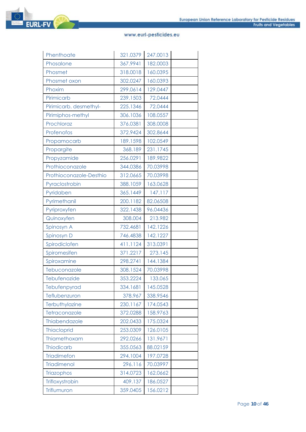| Phenthoate              | 321.0379 | 247.0013 |  |
|-------------------------|----------|----------|--|
| Phosalone               | 367.9941 | 182.0003 |  |
| Phosmet                 | 318.0018 | 160.0395 |  |
| Phosmet oxon            | 302.0247 | 160.0393 |  |
| Phoxim                  | 299.0614 | 129.0447 |  |
| Pirimicarb              | 239.1503 | 72.0444  |  |
| Pirimicarb. desmethyl-  | 225.1346 | 72.0444  |  |
| Pirimiphos-methyl       | 306.1036 | 108.0557 |  |
| Prochloraz              | 376.0381 | 308.0008 |  |
| Profenofos              | 372.9424 | 302.8644 |  |
| Propamocarb             | 189.1598 | 102.0549 |  |
| Propargite              | 368.189  | 231.1745 |  |
| Propyzamide             | 256.0291 | 189.9822 |  |
| Prothioconazole         | 344.0386 | 70.03998 |  |
| Prothioconazole-Desthio | 312.0665 | 70.03998 |  |
| Pyraclostrobin          | 388.1059 | 163.0628 |  |
| Pyridaben               | 365.1449 | 147.117  |  |
| Pyrimethanil            | 200.1182 | 82.06508 |  |
| Pyriproxyfen            | 322.1438 | 96.04436 |  |
| Quinoxyfen              | 308.004  | 213.982  |  |
| Spinosyn A              | 732.4681 | 142.1226 |  |
| Spinosyn D              | 746.4838 | 142.1227 |  |
| Spirodiclofen           | 411.1124 | 313.0391 |  |
| Spiromesifen            | 371.2217 | 273.145  |  |
| Spiroxamine             | 298.2741 | 144.1384 |  |
| Tebuconazole            | 308.1524 | 70.03998 |  |
| Tebufenozide            | 353.2224 | 133.065  |  |
| Tebufenpyrad            | 334.1681 | 145.0528 |  |
| Teflubenzuron           | 378.967  | 338.9546 |  |
| Terbuthylazine          | 230.1167 | 174.0543 |  |
| Tetraconazole           | 372.0288 | 158.9763 |  |
| Thiabendazole           | 202.0433 | 175.0324 |  |
| <b>Thiacloprid</b>      | 253.0309 | 126.0105 |  |
| Thiamethoxam            | 292.0266 | 131.9671 |  |
| <b>Thiodicarb</b>       | 355.0563 | 88.02159 |  |
| <b>Triadimefon</b>      | 294.1004 | 197.0728 |  |
| <b>Triadimenol</b>      | 296.116  | 70.03997 |  |
| Triazophos              | 314.0723 | 162.0662 |  |
| Trifloxystrobin         | 409.137  | 186.0527 |  |
| Triflumuron             | 359.0405 | 156.0212 |  |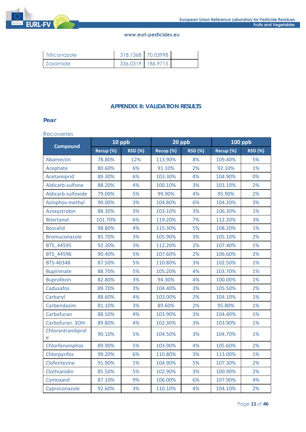

| <b>Triticonazole</b> | 318.1368 70.03998 |  |
|----------------------|-------------------|--|
| Zoxamide             | 336.0319 186.9715 |  |

## **APPENDIX II: VALIDATION RESULTS**

#### **Pear**

#### Recoveries

|                         | 10 ppb    |                | 20 ppb    |                | <b>100 ppb</b> |                |
|-------------------------|-----------|----------------|-----------|----------------|----------------|----------------|
| <b>Compound</b>         | Recup (%) | <b>RSD (%)</b> | Recup (%) | <b>RSD (%)</b> | Recup (%)      | <b>RSD (%)</b> |
| Abamectin               | 78.80%    | 12%            | 113.90%   | 8%             | 109.40%        | 5%             |
| Acephate                | 80.60%    | 6%             | 91.10%    | 2%             | 92.10%         | 1%             |
| Acetamiprid             | 89.30%    | 6%             | 103.30%   | 4%             | 104.90%        | 0%             |
| Aldicarb-sulfone        | 88.20%    | 4%             | 100.10%   | 3%             | 103.10%        | 2%             |
| Aldicarb-sulfoxide      | 79.00%    | 5%             | 99.90%    | 4%             | 95.90%         | 2%             |
| Azinphos-methyl         | 90.00%    | 3%             | 104.80%   | 6%             | 104.20%        | 3%             |
| Azoxystrobin            | 88.30%    | 3%             | 103.10%   | 3%             | 106.30%        | 1%             |
| <b>Bitertanol</b>       | 101.70%   | 6%             | 119.20%   | 7%             | 112.20%        | 3%             |
| <b>Boscalid</b>         | 98.80%    | 4%             | 115.30%   | 5%             | 108.20%        | 1%             |
| Bromuconazole           | 85.70%    | 3%             | 105.90%   | 3%             | 105.10%        | 2%             |
| BTS_44595               | 92.30%    | 3%             | 112.20%   | 2%             | 107.40%        | 1%             |
| BTS 44596               | 90.40%    | 5%             | 107.60%   | 2%             | 106.60%        | 2%             |
| BTS-40348               | 87.50%    | 5%             | 110.80%   | 3%             | 102.50%        | 1%             |
| <b>Bupirimate</b>       | 88.70%    | 5%             | 105.20%   | 4%             | 103.70%        | 1%             |
| <b>Buprofezin</b>       | 82.80%    | 3%             | 94.30%    | 4%             | 100.00%        | 1%             |
| Cadusafos               | 89.70%    | 3%             | 104.40%   | 3%             | 105.50%        | 2%             |
| Carbaryl                | 88.60%    | 4%             | 103.00%   | 2%             | 104.10%        | 1%             |
| Carbendazim             | 81.10%    | 3%             | 89.60%    | 2%             | 95.80%         | 1%             |
| Carbofuran              | 88.50%    | 4%             | 103.90%   | 3%             | 104.40%        | 1%             |
| Carbofuran. 3OH-        | 89.80%    | 4%             | 102.30%   | 3%             | 103.90%        | 1%             |
| Chlorantraniliprol<br>e | 90.10%    | 5%             | 104.50%   | 3%             | 104.70%        | 1%             |
| Chlorfenvinphos         | 89.90%    | 5%             | 103.90%   | 4%             | 105.60%        | 2%             |
| Chlorpyrifos            | 99.20%    | 6%             | 110.80%   | 3%             | 113.00%        | 1%             |
| Clofentezine            | 91.90%    | 1%             | 104.90%   | 5%             | 107.30%        | 2%             |
| Clothianidin            | 85.50%    | 5%             | 102.90%   | 3%             | 100.90%        | 2%             |
| Cymoxanil               | 87.10%    | 9%             | 106.00%   | 6%             | 107.90%        | 4%             |
| Cyproconazole           | 92.60%    | 3%             | 110.10%   | 4%             | 104.10%        | 2%             |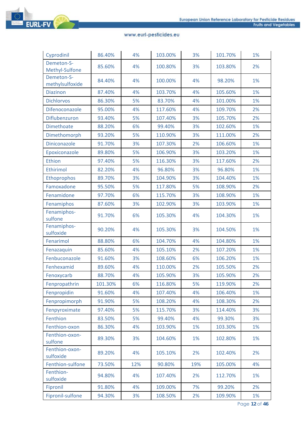

| Cyprodinil                    | 86.40%  | 4%  | 103.00% | 3%  | 101.70% | 1% |
|-------------------------------|---------|-----|---------|-----|---------|----|
| Demeton-S-<br>Methyl-Sulfone  | 85.60%  | 4%  | 100.80% | 3%  | 103.80% | 2% |
| Demeton-S-<br>methylsulfoxide | 84.40%  | 4%  | 100.00% | 4%  | 98.20%  | 1% |
| <b>Diazinon</b>               | 87.40%  | 4%  | 103.70% | 4%  | 105.60% | 1% |
| <b>Dichlorvos</b>             | 86.30%  | 5%  | 83.70%  | 4%  | 101.00% | 1% |
| Difenoconazole                | 95.00%  | 4%  | 117.60% | 4%  | 109.70% | 2% |
| Diflubenzuron                 | 93.40%  | 5%  | 107.40% | 3%  | 105.70% | 2% |
| <b>Dimethoate</b>             | 88.20%  | 6%  | 99.40%  | 3%  | 102.60% | 1% |
| Dimethomorph                  | 93.20%  | 5%  | 110.90% | 3%  | 111.00% | 2% |
| Diniconazole                  | 91.70%  | 3%  | 107.30% | 2%  | 106.60% | 1% |
| Epoxiconazole                 | 89.80%  | 5%  | 106.90% | 3%  | 103.20% | 1% |
| Ethion                        | 97.40%  | 5%  | 116.30% | 3%  | 117.60% | 2% |
| Ethirimol                     | 82.20%  | 4%  | 96.80%  | 3%  | 96.80%  | 1% |
| Ethoprophos                   | 89.70%  | 3%  | 104.90% | 3%  | 104.40% | 1% |
| Famoxadone                    | 95.50%  | 5%  | 117.80% | 5%  | 108.90% | 2% |
| Fenamidone                    | 97.70%  | 6%  | 115.70% | 3%  | 108.90% | 1% |
| Fenamiphos                    | 87.60%  | 3%  | 102.90% | 3%  | 103.90% | 1% |
| Fenamiphos-<br>sulfone        | 91.70%  | 6%  | 105.30% | 4%  | 104.30% | 1% |
| Fenamiphos-<br>sulfoxide      | 90.20%  | 4%  | 105.30% | 3%  | 104.50% | 1% |
| Fenarimol                     | 88.80%  | 6%  | 104.70% | 4%  | 104.80% | 1% |
| Fenazaquin                    | 85.60%  | 4%  | 105.10% | 2%  | 107.20% | 1% |
| Fenbuconazole                 | 91.60%  | 3%  | 108.60% | 6%  | 106.20% | 1% |
| Fenhexamid                    | 89.60%  | 4%  | 110.00% | 2%  | 105.50% | 2% |
| Fenoxycarb                    | 88.70%  | 4%  | 105.90% | 3%  | 105.90% | 2% |
| Fenpropathrin                 | 101.30% | 6%  | 116.80% | 5%  | 119.90% | 2% |
| Fenpropidin                   | 91.60%  | 4%  | 107.40% | 4%  | 106.40% | 1% |
| Fenpropimorph                 | 91.90%  | 5%  | 108.20% | 4%  | 108.30% | 2% |
| Fenpyroximate                 | 97.40%  | 5%  | 115.70% | 3%  | 114.40% | 3% |
| Fenthion                      | 83.50%  | 5%  | 99.40%  | 4%  | 99.30%  | 3% |
| Fenthion-oxon                 | 86.30%  | 4%  | 103.90% | 1%  | 103.30% | 1% |
| Fenthion-oxon-<br>sulfone     | 89.30%  | 3%  | 104.60% | 1%  | 102.80% | 1% |
| Fenthion-oxon-<br>sulfoxide   | 89.20%  | 4%  | 105.10% | 2%  | 102.40% | 2% |
| Fenthion-sulfone              | 73.50%  | 12% | 90.80%  | 19% | 105.00% | 4% |
| Fenthion-<br>sulfoxide        | 94.80%  | 4%  | 107.40% | 2%  | 112.70% | 1% |
| Fipronil                      | 91.80%  | 4%  | 109.00% | 7%  | 99.20%  | 2% |
| Fipronil-sulfone              | 94.30%  | 3%  | 108.50% | 2%  | 109.90% | 1% |

Page **12** of **46**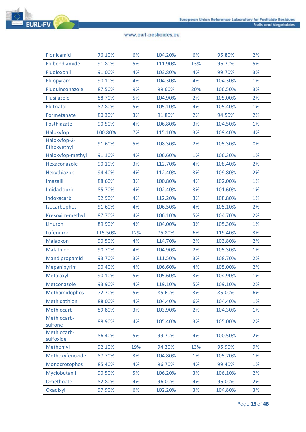

| Flonicamid                  | 76.10%  | 6%  | 104.20% | 6%  | 95.80%  | 2% |
|-----------------------------|---------|-----|---------|-----|---------|----|
| Flubendiamide               | 91.80%  | 5%  | 111.90% | 13% | 96.70%  | 5% |
| Fludioxonil                 | 91.00%  | 4%  | 103.80% | 4%  | 99.70%  | 3% |
| Fluopyram                   | 90.10%  | 4%  | 104.30% | 4%  | 104.30% | 1% |
| Fluquinconazole             | 87.50%  | 9%  | 99.60%  | 20% | 106.50% | 3% |
| Flusilazole                 | 88.70%  | 5%  | 104.90% | 2%  | 105.00% | 2% |
| Flutriafol                  | 87.80%  | 5%  | 105.10% | 4%  | 105.40% | 1% |
| Formetanate                 | 80.30%  | 3%  | 91.80%  | 2%  | 94.50%  | 2% |
| Fosthiazate                 | 90.50%  | 4%  | 106.80% | 3%  | 104.50% | 1% |
| Haloxyfop                   | 100.80% | 7%  | 115.10% | 3%  | 109.40% | 4% |
| Haloxyfop-2-<br>Ethoxyethyl | 91.60%  | 5%  | 108.30% | 2%  | 105.30% | 0% |
| Haloxyfop-methyl            | 91.10%  | 4%  | 106.60% | 1%  | 106.30% | 1% |
| Hexaconazole                | 90.10%  | 3%  | 112.70% | 4%  | 108.40% | 2% |
| Hexythiazox                 | 94.40%  | 4%  | 112.40% | 3%  | 109.80% | 2% |
| Imazalil                    | 88.60%  | 3%  | 100.80% | 4%  | 102.00% | 1% |
| Imidacloprid                | 85.70%  | 4%  | 102.40% | 3%  | 101.60% | 1% |
| Indoxacarb                  | 92.90%  | 4%  | 112.20% | 3%  | 108.80% | 1% |
| Isocarbophos                | 91.60%  | 4%  | 106.50% | 4%  | 105.10% | 2% |
| Kresoxim-methyl             | 87.70%  | 4%  | 106.10% | 5%  | 104.70% | 2% |
| Linuron                     | 89.90%  | 4%  | 104.00% | 3%  | 105.30% | 1% |
| Lufenuron                   | 115.50% | 12% | 75.80%  | 6%  | 119.40% | 3% |
| Malaoxon                    | 90.50%  | 4%  | 114.70% | 2%  | 103.80% | 2% |
| Malathion                   | 90.70%  | 4%  | 104.90% | 2%  | 105.30% | 1% |
| Mandipropamid               | 93.70%  | 3%  | 111.50% | 3%  | 108.70% | 2% |
| Mepanipyrim                 | 90.40%  | 4%  | 106.60% | 4%  | 105.00% | 2% |
| Metalaxyl                   | 90.10%  | 5%  | 105.60% | 3%  | 104.90% | 1% |
| Metconazole                 | 93.90%  | 4%  | 119.10% | 5%  | 109.10% | 2% |
| Methamidophos               | 72.70%  | 5%  | 85.60%  | 3%  | 85.00%  | 6% |
| Methidathion                | 88.00%  | 4%  | 104.40% | 6%  | 104.40% | 1% |
| Methiocarb                  | 89.80%  | 3%  | 103.90% | 2%  | 104.30% | 1% |
| Methiocarb-<br>sulfone      | 88.90%  | 4%  | 105.40% | 3%  | 105.00% | 2% |
| Methiocarb-<br>sulfoxide    | 86.40%  | 5%  | 99.70%  | 4%  | 100.50% | 2% |
| Methomyl                    | 92.10%  | 19% | 94.20%  | 13% | 95.90%  | 9% |
| Methoxyfenozide             | 87.70%  | 3%  | 104.80% | 1%  | 105.70% | 1% |
| Monocrotophos               | 85.40%  | 4%  | 96.70%  | 4%  | 99.40%  | 1% |
| Myclobutanil                | 90.50%  | 5%  | 106.20% | 3%  | 106.10% | 2% |
| Omethoate                   | 82.80%  | 4%  | 96.00%  | 4%  | 96.00%  | 2% |
| Oxadixyl                    | 97.90%  | 6%  | 102.20% | 3%  | 104.80% | 3% |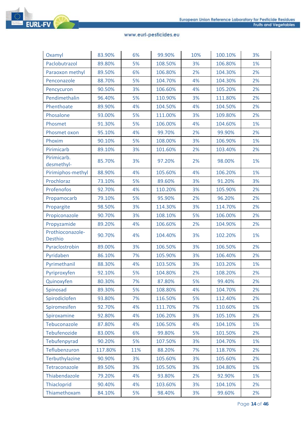

| Oxamyl                             | 83.90%  | 6%  | 99.90%  | 10% | 100.10% | 3% |
|------------------------------------|---------|-----|---------|-----|---------|----|
| Paclobutrazol                      | 89.80%  | 5%  | 108.50% | 3%  | 106.80% | 1% |
| Paraoxon methyl                    | 89.50%  | 6%  | 106.80% | 2%  | 104.30% | 2% |
| Penconazole                        | 88.70%  | 5%  | 104.70% | 4%  | 104.30% | 2% |
| Pencycuron                         | 90.50%  | 3%  | 106.60% | 4%  | 105.20% | 2% |
| Pendimethalin                      | 96.40%  | 5%  | 110.90% | 3%  | 111.80% | 2% |
| Phenthoate                         | 89.90%  | 4%  | 104.50% | 4%  | 104.50% | 2% |
| Phosalone                          | 93.00%  | 5%  | 111.00% | 3%  | 109.80% | 2% |
| Phosmet                            | 91.30%  | 5%  | 106.00% | 4%  | 104.60% | 1% |
| Phosmet oxon                       | 95.10%  | 4%  | 99.70%  | 2%  | 99.90%  | 2% |
| Phoxim                             | 90.10%  | 5%  | 108.00% | 3%  | 106.90% | 1% |
| Pirimicarb                         | 89.10%  | 3%  | 101.60% | 2%  | 103.40% | 2% |
| Pirimicarb.<br>desmethyl-          | 85.70%  | 3%  | 97.20%  | 2%  | 98.00%  | 1% |
| Pirimiphos-methyl                  | 88.90%  | 4%  | 105.60% | 4%  | 106.20% | 1% |
| Prochloraz                         | 73.10%  | 5%  | 89.60%  | 3%  | 91.20%  | 3% |
| Profenofos                         | 92.70%  | 4%  | 110.20% | 3%  | 105.90% | 2% |
| Propamocarb                        | 79.10%  | 5%  | 95.90%  | 2%  | 96.20%  | 2% |
| Propargite                         | 98.50%  | 3%  | 114.30% | 3%  | 114.70% | 2% |
| Propiconazole                      | 90.70%  | 3%  | 108.10% | 5%  | 106.00% | 2% |
| Propyzamide                        | 89.20%  | 4%  | 106.60% | 2%  | 104.90% | 2% |
| Prothioconazole-<br><b>Desthio</b> | 90.70%  | 4%  | 104.40% | 3%  | 102.20% | 1% |
| Pyraclostrobin                     | 89.00%  | 3%  | 106.50% | 3%  | 106.50% | 2% |
| Pyridaben                          | 86.10%  | 7%  | 105.90% | 3%  | 106.40% | 2% |
| Pyrimethanil                       | 88.30%  | 4%  | 103.50% | 3%  | 103.20% | 1% |
| Pyriproxyfen                       | 92.10%  | 5%  | 104.80% | 2%  | 108.20% | 2% |
| Quinoxyfen                         | 80.30%  | 7%  | 87.80%  | 5%  | 99.40%  | 2% |
| Spinosad                           | 89.30%  | 5%  | 108.80% | 4%  | 104.70% | 2% |
| Spirodiclofen                      | 93.80%  | 7%  | 116.50% | 5%  | 112.40% | 2% |
| Spiromesifen                       | 92.70%  | 4%  | 111.70% | 7%  | 110.60% | 1% |
| Spiroxamine                        | 92.80%  | 4%  | 106.20% | 3%  | 105.10% | 2% |
| Tebuconazole                       | 87.80%  | 4%  | 106.50% | 4%  | 104.10% | 1% |
| Tebufenozide                       | 83.00%  | 6%  | 99.80%  | 5%  | 101.50% | 2% |
| Tebufenpyrad                       | 90.20%  | 5%  | 107.50% | 3%  | 104.70% | 1% |
| Teflubenzuron                      | 117.80% | 11% | 88.20%  | 7%  | 118.70% | 2% |
| Terbuthylazine                     | 90.90%  | 3%  | 105.60% | 3%  | 105.60% | 2% |
| Tetraconazole                      | 89.50%  | 3%  | 105.50% | 3%  | 104.80% | 1% |
| Thiabendazole                      | 79.20%  | 4%  | 93.80%  | 2%  | 92.90%  | 1% |
| Thiacloprid                        | 90.40%  | 4%  | 103.60% | 3%  | 104.10% | 2% |
| Thiamethoxam                       | 84.10%  | 5%  | 98.40%  | 3%  | 99.60%  | 2% |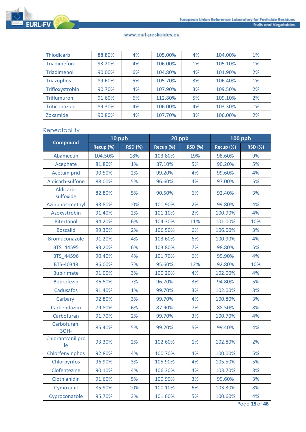

| Thiodicarb      | 88.80% | 4% | 105.00% | 4% | 104.00% | 1% |
|-----------------|--------|----|---------|----|---------|----|
| Triadimefon     | 93.20% | 4% | 106.00% | 1% | 105.10% | 1% |
| Triadimenol     | 90.00% | 6% | 104.80% | 4% | 101.90% | 2% |
| Triazophos      | 89.60% | 5% | 105.70% | 3% | 106.40% | 1% |
| Trifloxystrobin | 90.70% | 4% | 107.90% | 3% | 109.50% | 2% |
| Triflumuron     | 91.60% | 6% | 112.80% | 5% | 109.10% | 2% |
| Triticonazole   | 89.30% | 4% | 106.00% | 4% | 103.30% | 1% |
| Zoxamide        | 90.80% | 4% | 107.70% | 3% | 106.00% | 2% |

## Repeatability

|                         | 10 ppb    |                | 20 ppb    |                | <b>100 ppb</b> |                |
|-------------------------|-----------|----------------|-----------|----------------|----------------|----------------|
| <b>Compound</b>         | Recup (%) | <b>RSD (%)</b> | Recup (%) | <b>RSD (%)</b> | Recup (%)      | <b>RSD (%)</b> |
| Abamectin               | 104.50%   | 18%            | 103.80%   | 19%            | 98.60%         | 9%             |
| Acephate                | 81.80%    | 1%             | 87.10%    | 5%             | 90.20%         | 5%             |
| Acetamiprid             | 90.50%    | 2%             | 99.20%    | 4%             | 99.60%         | 4%             |
| Aldicarb-sulfone        | 88.00%    | 5%             | 96.60%    | 4%             | 97.00%         | 5%             |
| Aldicarb-<br>sulfoxide  | 82.80%    | 5%             | 90.50%    | 6%             | 92.40%         | 3%             |
| Azinphos-methyl         | 93.80%    | 10%            | 101.90%   | 2%             | 99.80%         | 4%             |
| Azoxystrobin            | 91.40%    | 2%             | 101.10%   | 2%             | 100.90%        | 4%             |
| <b>Bitertanol</b>       | 94.20%    | 6%             | 104.30%   | 11%            | 101.00%        | 10%            |
| <b>Boscalid</b>         | 99.30%    | 2%             | 106.50%   | 6%             | 106.00%        | 3%             |
| Bromuconazole           | 91.20%    | 4%             | 103.60%   | 6%             | 100.90%        | 4%             |
| BTS 44595               | 93.20%    | 6%             | 103.80%   | 7%             | 98.80%         | 5%             |
| BTS 44596               | 90.40%    | 4%             | 101.70%   | 6%             | 99.90%         | 4%             |
| BTS-40348               | 86.00%    | 7%             | 95.60%    | 12%            | 92.80%         | 10%            |
| <b>Bupirimate</b>       | 91.00%    | 3%             | 100.20%   | 4%             | 102.00%        | 4%             |
| <b>Buprofezin</b>       | 86.50%    | 7%             | 96.70%    | 3%             | 94.80%         | 5%             |
| <b>Cadusafos</b>        | 91.40%    | 1%             | 99.70%    | 3%             | 102.00%        | 3%             |
| Carbaryl                | 92.80%    | 3%             | 99.70%    | 4%             | 100.80%        | 3%             |
| Carbendazim             | 79.80%    | 6%             | 87.90%    | 7%             | 88.50%         | 8%             |
| Carbofuran              | 91.70%    | 2%             | 99.70%    | 3%             | 100.70%        | 4%             |
| Carbofuran.<br>3OH-     | 85.40%    | 5%             | 99.20%    | 5%             | 99.40%         | 4%             |
| Chlorantranilipro<br>le | 93.30%    | 2%             | 102.60%   | 1%             | 102.80%        | 2%             |
| Chlorfenvinphos         | 92.80%    | 4%             | 100.70%   | 4%             | 100.00%        | 5%             |
| Chlorpyrifos            | 96.90%    | 3%             | 105.90%   | 4%             | 105.50%        | 5%             |
| Clofentezine            | 90.10%    | 4%             | 106.30%   | 4%             | 103.70%        | 3%             |
| Clothianidin            | 91.60%    | 5%             | 100.90%   | 3%             | 99.60%         | 3%             |
| Cymoxanil               | 85.90%    | 10%            | 100.10%   | 6%             | 103.30%        | 8%             |
| Cyproconazole           | 95.70%    | 3%             | 101.60%   | 5%             | 100.60%        | 4%             |

Page **15** of **46**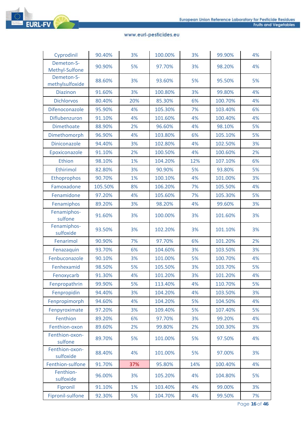

| Cyprodinil                    | 90.40%  | 3%  | 100.00% | 3%  | 99.90%  | 4% |
|-------------------------------|---------|-----|---------|-----|---------|----|
| Demeton-S-<br>Methyl-Sulfone  | 90.90%  | 5%  | 97.70%  | 3%  | 98.20%  | 4% |
| Demeton-S-<br>methylsulfoxide | 88.60%  | 3%  | 93.60%  | 5%  | 95.50%  | 5% |
| <b>Diazinon</b>               | 91.60%  | 3%  | 100.80% | 3%  | 99.80%  | 4% |
| <b>Dichlorvos</b>             | 80.40%  | 20% | 85.30%  | 6%  | 100.70% | 4% |
| Difenoconazole                | 95.90%  | 4%  | 105.30% | 7%  | 103.40% | 6% |
| Diflubenzuron                 | 91.10%  | 4%  | 101.60% | 4%  | 100.40% | 4% |
| Dimethoate                    | 88.90%  | 2%  | 96.60%  | 4%  | 98.10%  | 5% |
| Dimethomorph                  | 96.90%  | 4%  | 103.80% | 6%  | 105.10% | 5% |
| <b>Diniconazole</b>           | 94.40%  | 3%  | 102.80% | 4%  | 102.50% | 3% |
| Epoxiconazole                 | 91.10%  | 2%  | 100.50% | 4%  | 100.60% | 2% |
| Ethion                        | 98.10%  | 1%  | 104.20% | 12% | 107.10% | 6% |
| Ethirimol                     | 82.80%  | 3%  | 90.90%  | 5%  | 93.80%  | 5% |
| Ethoprophos                   | 90.70%  | 1%  | 100.10% | 4%  | 101.00% | 3% |
| Famoxadone                    | 105.50% | 8%  | 106.20% | 7%  | 105.50% | 4% |
| Fenamidone                    | 97.20%  | 4%  | 105.60% | 7%  | 105.30% | 5% |
| Fenamiphos                    | 89.20%  | 3%  | 98.20%  | 4%  | 99.60%  | 3% |
| Fenamiphos-<br>sulfone        | 91.60%  | 3%  | 100.00% | 3%  | 101.60% | 3% |
| Fenamiphos-<br>sulfoxide      | 93.50%  | 3%  | 102.20% | 3%  | 101.10% | 3% |
| Fenarimol                     | 90.90%  | 7%  | 97.70%  | 6%  | 101.20% | 2% |
| Fenazaquin                    | 93.70%  | 6%  | 104.60% | 3%  | 103.50% | 3% |
| Fenbuconazole                 | 90.10%  | 3%  | 101.00% | 5%  | 100.70% | 4% |
| Fenhexamid                    | 98.50%  | 5%  | 105.50% | 3%  | 103.70% | 5% |
| Fenoxycarb                    | 91.30%  | 4%  | 101.20% | 3%  | 101.20% | 4% |
| Fenpropathrin                 | 99.90%  | 5%  | 113.40% | 4%  | 110.70% | 5% |
| Fenpropidin                   | 94.40%  | 3%  | 104.20% | 4%  | 103.50% | 3% |
| Fenpropimorph                 | 94.60%  | 4%  | 104.20% | 5%  | 104.50% | 4% |
| Fenpyroximate                 | 97.20%  | 3%  | 109.40% | 5%  | 107.40% | 5% |
| Fenthion                      | 89.20%  | 6%  | 97.70%  | 3%  | 99.20%  | 4% |
| Fenthion-oxon                 | 89.60%  | 2%  | 99.80%  | 2%  | 100.30% | 3% |
| Fenthion-oxon-<br>sulfone     | 89.70%  | 5%  | 101.00% | 5%  | 97.50%  | 4% |
| Fenthion-oxon-<br>sulfoxide   | 88.40%  | 4%  | 101.00% | 5%  | 97.00%  | 3% |
| Fenthion-sulfone              | 91.70%  | 37% | 95.80%  | 14% | 100.40% | 4% |
| Fenthion-<br>sulfoxide        | 96.00%  | 3%  | 105.20% | 4%  | 104.80% | 5% |
| Fipronil                      | 91.10%  | 1%  | 103.40% | 4%  | 99.00%  | 3% |
| Fipronil-sulfone              | 92.30%  | 5%  | 104.70% | 4%  | 99.50%  | 7% |

Page **16** of **46**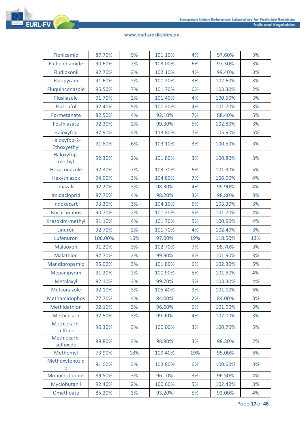

| Flonicamid                  | 87.70%  | 9%  | 101.10% | 4%  | 97.60%  | 3%  |
|-----------------------------|---------|-----|---------|-----|---------|-----|
| Flubendiamide               | 90.60%  | 2%  | 103.00% | 6%  | 97.30%  | 3%  |
| Fludioxonil                 | 92.70%  | 2%  | 102.10% | 4%  | 99.40%  | 3%  |
| Fluopyram                   | 91.60%  | 2%  | 100.20% | 3%  | 102.60% | 3%  |
| Fluquinconazole             | 95.50%  | 7%  | 101.70% | 6%  | 103.30% | 2%  |
| Flusilazole                 | 91.70%  | 2%  | 101.40% | 4%  | 100.50% | 3%  |
| Flutriafol                  | 92.40%  | 5%  | 100.20% | 4%  | 101.70% | 3%  |
| Formetanate                 | 82.50%  | 4%  | 92.10%  | 7%  | 88.40%  | 5%  |
| Fosthiazate                 | 92.30%  | 2%  | 99.30%  | 5%  | 102.80% | 3%  |
| Haloxyfop                   | 97.90%  | 4%  | 113.80% | 7%  | 105.90% | 5%  |
| Haloxyfop-2-<br>Ethoxyethyl | 91.80%  | 6%  | 103.10% | 3%  | 100.50% | 3%  |
| Haloxyfop-<br>methyl        | 92.30%  | 2%  | 101.80% | 3%  | 100.80% | 3%  |
| Hexaconazole                | 92.30%  | 7%  | 103.70% | 6%  | 101.30% | 5%  |
| Hexythiazox                 | 94.00%  | 3%  | 104.80% | 7%  | 106.00% | 4%  |
| Imazalil                    | 92.20%  | 3%  | 98.30%  | 4%  | 99.90%  | 4%  |
| Imidacloprid                | 87.70%  | 4%  | 98.20%  | 3%  | 98.80%  | 3%  |
| Indoxacarb                  | 93.30%  | 3%  | 104.10% | 5%  | 103.30% | 3%  |
| Isocarbophos                | 90.70%  | 2%  | 101.20% | 5%  | 101.70% | 4%  |
| Kresoxim-methyl             | 91.10%  | 4%  | 101.70% | 5%  | 100.90% | 4%  |
| Linuron                     | 92.70%  | 2%  | 101.70% | 4%  | 102.40% | 3%  |
| Lufenuron                   | 106.00% | 16% | 97.00%  | 19% | 118.50% | 13% |
| Malaoxon                    | 91.20%  | 3%  | 102.70% | 7%  | 98.70%  | 3%  |
| Malathion                   | 92.70%  | 2%  | 99.90%  | 6%  | 101.90% | 3%  |
| Mandipropamid               | 95.00%  | 3%  | 101.80% | 6%  | 102.30% | 5%  |
| Mepanipyrim                 | 91.20%  | 2%  | 100.90% | 5%  | 101.80% | 4%  |
| Metalaxyl                   | 92.10%  | 3%  | 99.70%  | 5%  | 103.30% | 4%  |
| Metconazole                 | 92.10%  | 3%  | 105.40% | 9%  | 101.00% | 6%  |
| Methamidophos               | 77.70%  | 4%  | 84.00%  | 2%  | 84.00%  | 3%  |
| Methidathion                | 92.10%  | 3%  | 96.60%  | 6%  | 101.90% | 3%  |
| Methiocarb                  | 92.50%  | 3%  | 99.90%  | 4%  | 102.00% | 3%  |
| Methiocarb-<br>sulfone      | 90.30%  | 3%  | 100.00% | 3%  | 100.70% | 5%  |
| Methiocarb-<br>sulfoxide    | 89.80%  | 3%  | 98.90%  | 3%  | 98.30%  | 2%  |
| Methomyl                    | 73.90%  | 18% | 109.40% | 19% | 95.00%  | 6%  |
| Methoxyfenozid<br>e         | 91.00%  | 3%  | 102.80% | 6%  | 100.60% | 3%  |
| Monocrotophos               | 89.50%  | 3%  | 96.10%  | 3%  | 96.50%  | 4%  |
| Myclobutanil                | 92.40%  | 2%  | 100.60% | 5%  | 102.40% | 3%  |
| Omethoate                   | 85.20%  | 3%  | 93.20%  | 5%  | 92.00%  | 4%  |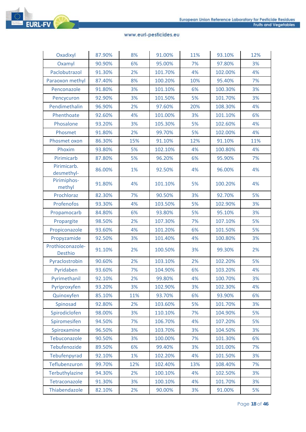

| Oxadixyl                           | 87.90% | 8%  | 91.00%  | 11% | 93.10%  | 12% |
|------------------------------------|--------|-----|---------|-----|---------|-----|
| Oxamyl                             | 90.90% | 6%  | 95.00%  | 7%  | 97.80%  | 3%  |
| Paclobutrazol                      | 91.30% | 2%  | 101.70% | 4%  | 102.00% | 4%  |
| Paraoxon methyl                    | 87.40% | 8%  | 100.20% | 10% | 95.40%  | 7%  |
| Penconazole                        | 91.80% | 3%  | 101.10% | 6%  | 100.30% | 3%  |
| Pencycuron                         | 92.90% | 3%  | 101.50% | 5%  | 101.70% | 3%  |
| Pendimethalin                      | 96.90% | 2%  | 97.60%  | 20% | 108.30% | 4%  |
| Phenthoate                         | 92.60% | 4%  | 101.00% | 3%  | 101.10% | 6%  |
| Phosalone                          | 93.20% | 3%  | 105.30% | 5%  | 102.60% | 4%  |
| Phosmet                            | 91.80% | 2%  | 99.70%  | 5%  | 102.00% | 4%  |
| Phosmet oxon                       | 86.30% | 15% | 91.10%  | 12% | 91.10%  | 11% |
| Phoxim                             | 93.80% | 5%  | 102.10% | 4%  | 100.80% | 4%  |
| Pirimicarb                         | 87.80% | 5%  | 96.20%  | 6%  | 95.90%  | 7%  |
| Pirimicarb.<br>desmethyl-          | 86.00% | 1%  | 92.50%  | 4%  | 96.00%  | 4%  |
| Pirimiphos-<br>methyl              | 91.80% | 4%  | 101.10% | 5%  | 100.20% | 4%  |
| Prochloraz                         | 82.30% | 7%  | 90.50%  | 3%  | 92.70%  | 5%  |
| Profenofos                         | 93.30% | 4%  | 103.50% | 5%  | 102.90% | 3%  |
| Propamocarb                        | 84.80% | 6%  | 93.80%  | 5%  | 95.10%  | 3%  |
| Propargite                         | 98.50% | 2%  | 107.30% | 7%  | 107.10% | 5%  |
| Propiconazole                      | 93.60% | 4%  | 101.20% | 6%  | 101.50% | 5%  |
| Propyzamide                        | 92.50% | 3%  | 101.40% | 4%  | 100.80% | 3%  |
| Prothioconazole-<br><b>Desthio</b> | 91.10% | 2%  | 100.50% | 3%  | 99.30%  | 2%  |
| Pyraclostrobin                     | 90.60% | 2%  | 103.10% | 2%  | 102.20% | 5%  |
| Pyridaben                          | 93.60% | 7%  | 104.90% | 6%  | 103.20% | 4%  |
| Pyrimethanil                       | 92.10% | 2%  | 99.80%  | 4%  | 100.70% | 3%  |
| Pyriproxyfen                       | 93.20% | 3%  | 102.90% | 3%  | 102.30% | 4%  |
| Quinoxyfen                         | 85.10% | 11% | 93.70%  | 6%  | 93.90%  | 6%  |
| Spinosad                           | 92.80% | 2%  | 103.60% | 5%  | 101.70% | 3%  |
| Spirodiclofen                      | 98.00% | 3%  | 110.10% | 7%  | 104.90% | 5%  |
| Spiromesifen                       | 94.50% | 7%  | 106.70% | 4%  | 107.20% | 5%  |
| Spiroxamine                        | 96.50% | 3%  | 103.70% | 3%  | 104.50% | 3%  |
| Tebuconazole                       | 90.50% | 3%  | 100.00% | 7%  | 101.30% | 6%  |
| Tebufenozide                       | 89.50% | 6%  | 99.40%  | 3%  | 101.00% | 7%  |
| Tebufenpyrad                       | 92.10% | 1%  | 102.20% | 4%  | 101.50% | 3%  |
| Teflubenzuron                      | 99.70% | 12% | 102.40% | 13% | 108.40% | 7%  |
| Terbuthylazine                     | 94.30% | 2%  | 100.10% | 4%  | 102.50% | 3%  |
| Tetraconazole                      | 91.30% | 3%  | 100.10% | 4%  | 101.70% | 3%  |
| Thiabendazole                      | 82.10% | 2%  | 90.00%  | 3%  | 91.00%  | 5%  |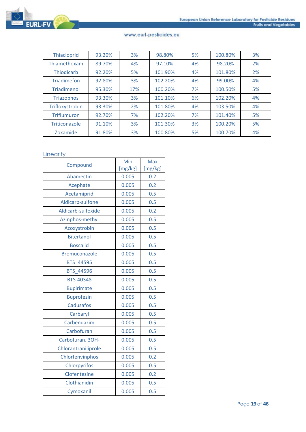

| Thiacloprid        | 93.20% | 3%  | 98.80%  | 5% | 100.80% | 3% |
|--------------------|--------|-----|---------|----|---------|----|
| Thiamethoxam       | 89.70% | 4%  | 97.10%  | 4% | 98.20%  | 2% |
| Thiodicarb         | 92.20% | 5%  | 101.90% | 4% | 101.80% | 2% |
| <b>Triadimefon</b> | 92.80% | 3%  | 102.20% | 4% | 99.00%  | 4% |
| Triadimenol        | 95.30% | 17% | 100.20% | 7% | 100.50% | 5% |
| <b>Triazophos</b>  | 93.30% | 3%  | 101.10% | 6% | 102.20% | 4% |
| Trifloxystrobin    | 93.30% | 2%  | 101.80% | 4% | 103.50% | 4% |
| <b>Triflumuron</b> | 92.70% | 7%  | 102.20% | 7% | 101.40% | 5% |
| Triticonazole      | 91.10% | 3%  | 101.30% | 3% | 100.20% | 5% |
| Zoxamide           | 91.80% | 3%  | 100.80% | 5% | 100.70% | 4% |

## **Linearity**

| Compound             | Min     | <b>Max</b> |
|----------------------|---------|------------|
|                      | [mg/kg] | [mg/kg]    |
| Abamectin            | 0.005   | 0.2        |
| Acephate             | 0.005   | 0.2        |
| Acetamiprid          | 0.005   | 0.5        |
| Aldicarb-sulfone     | 0.005   | 0.5        |
| Aldicarb-sulfoxide   | 0.005   | 0.2        |
| Azinphos-methyl      | 0.005   | 0.5        |
| Azoxystrobin         | 0.005   | 0.5        |
| <b>Bitertanol</b>    | 0.005   | 0.5        |
| <b>Boscalid</b>      | 0.005   | 0.5        |
| <b>Bromuconazole</b> | 0.005   | 0.5        |
| <b>BTS 44595</b>     | 0.005   | 0.5        |
| <b>BTS 44596</b>     | 0.005   | 0.5        |
| <b>BTS-40348</b>     | 0.005   | 0.5        |
| <b>Bupirimate</b>    | 0.005   | 0.5        |
| <b>Buprofezin</b>    | 0.005   | 0.5        |
| <b>Cadusafos</b>     | 0.005   | 0.5        |
| Carbaryl             | 0.005   | 0.5        |
| Carbendazim          | 0.005   | 0.5        |
| Carbofuran           | 0.005   | 0.5        |
| Carbofuran. 3OH-     | 0.005   | 0.5        |
| Chlorantraniliprole  | 0.005   | 0.5        |
| Chlorfenvinphos      | 0.005   | 0.2        |
| Chlorpyrifos         | 0.005   | 0.5        |
| Clofentezine         | 0.005   | 0.2        |
| Clothianidin         | 0.005   | 0.5        |
| Cymoxanil            | 0.005   | 0.5        |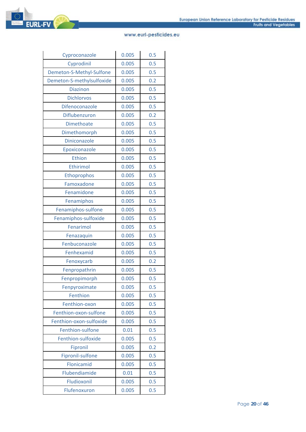| Cyproconazole             | 0.005 | 0.5 |
|---------------------------|-------|-----|
| Cyprodinil                | 0.005 | 0.5 |
| Demeton-S-Methyl-Sulfone  | 0.005 | 0.5 |
| Demeton-S-methylsulfoxide | 0.005 | 0.2 |
| <b>Diazinon</b>           | 0.005 | 0.5 |
| <b>Dichlorvos</b>         | 0.005 | 0.5 |
| Difenoconazole            | 0.005 | 0.5 |
| Diflubenzuron             | 0.005 | 0.2 |
| <b>Dimethoate</b>         | 0.005 | 0.5 |
| Dimethomorph              | 0.005 | 0.5 |
| Diniconazole              | 0.005 | 0.5 |
| Epoxiconazole             | 0.005 | 0.5 |
| Ethion                    | 0.005 | 0.5 |
| Ethirimol                 | 0.005 | 0.5 |
| Ethoprophos               | 0.005 | 0.5 |
| Famoxadone                | 0.005 | 0.5 |
| Fenamidone                | 0.005 | 0.5 |
| Fenamiphos                | 0.005 | 0.5 |
| Fenamiphos-sulfone        | 0.005 | 0.5 |
| Fenamiphos-sulfoxide      | 0.005 | 0.5 |
| Fenarimol                 | 0.005 | 0.5 |
| Fenazaquin                | 0.005 | 0.5 |
| Fenbuconazole             | 0.005 | 0.5 |
| Fenhexamid                | 0.005 | 0.5 |
| Fenoxycarb                | 0.005 | 0.2 |
| Fenpropathrin             | 0.005 | 0.5 |
| Fenpropimorph             | 0.005 | 0.5 |
| Fenpyroximate             | 0.005 | 0.5 |
| Fenthion                  | 0.005 | 0.5 |
| Fenthion-oxon             | 0.005 | 0.5 |
| Fenthion-oxon-sulfone     | 0.005 | 0.5 |
| Fenthion-oxon-sulfoxide   | 0.005 | 0.5 |
| Fenthion-sulfone          | 0.01  | 0.5 |
| Fenthion-sulfoxide        | 0.005 | 0.5 |
| Fipronil                  | 0.005 | 0.2 |
| Fipronil-sulfone          | 0.005 | 0.5 |
| Flonicamid                | 0.005 | 0.5 |
| Flubendiamide             | 0.01  | 0.5 |
| Fludioxonil               | 0.005 | 0.5 |
| Flufenoxuron              | 0.005 | 0.5 |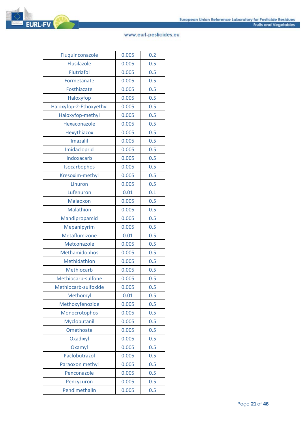

| Fluquinconazole         | 0.005 | 0.2 |
|-------------------------|-------|-----|
| <b>Flusilazole</b>      | 0.005 | 0.5 |
| Flutriafol              | 0.005 | 0.5 |
| Formetanate             | 0.005 | 0.5 |
| Fosthiazate             | 0.005 | 0.5 |
| Haloxyfop               | 0.005 | 0.5 |
| Haloxyfop-2-Ethoxyethyl | 0.005 | 0.5 |
| Haloxyfop-methyl        | 0.005 | 0.5 |
| Hexaconazole            | 0.005 | 0.5 |
| Hexythiazox             | 0.005 | 0.5 |
| <b>Imazalil</b>         | 0.005 | 0.5 |
| Imidacloprid            | 0.005 | 0.5 |
| Indoxacarb              | 0.005 | 0.5 |
| Isocarbophos            | 0.005 | 0.5 |
| Kresoxim-methyl         | 0.005 | 0.5 |
| Linuron                 | 0.005 | 0.5 |
| Lufenuron               | 0.01  | 0.1 |
| Malaoxon                | 0.005 | 0.5 |
| Malathion               | 0.005 | 0.5 |
| Mandipropamid           | 0.005 | 0.5 |
| Mepanipyrim             | 0.005 | 0.5 |
| Metaflumizone           | 0.01  | 0.5 |
| Metconazole             | 0.005 | 0.5 |
| Methamidophos           | 0.005 | 0.5 |
| Methidathion            | 0.005 | 0.5 |
| <b>Methiocarb</b>       | 0.005 | 0.5 |
| Methiocarb-sulfone      | 0.005 | 0.5 |
| Methiocarb-sulfoxide    | 0.005 | 0.5 |
| Methomyl                | 0.01  | 0.5 |
| Methoxyfenozide         | 0.005 | 0.5 |
| Monocrotophos           | 0.005 | 0.5 |
| Myclobutanil            | 0.005 | 0.5 |
| Omethoate               | 0.005 | 0.5 |
| Oxadixyl                | 0.005 | 0.5 |
| Oxamyl                  | 0.005 | 0.5 |
| Paclobutrazol           | 0.005 | 0.5 |
| Paraoxon methyl         | 0.005 | 0.5 |
| Penconazole             | 0.005 | 0.5 |
| Pencycuron              | 0.005 | 0.5 |
| Pendimethalin           | 0.005 | 0.5 |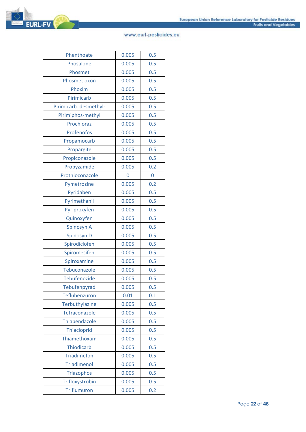

| Phenthoate             | 0.005 | 0.5 |
|------------------------|-------|-----|
| Phosalone              | 0.005 | 0.5 |
| Phosmet                | 0.005 | 0.5 |
| Phosmet oxon           | 0.005 | 0.5 |
| Phoxim                 | 0.005 | 0.5 |
| Pirimicarb             | 0.005 | 0.5 |
| Pirimicarb. desmethyl- | 0.005 | 0.5 |
| Pirimiphos-methyl      | 0.005 | 0.5 |
| Prochloraz             | 0.005 | 0.5 |
| Profenofos             | 0.005 | 0.5 |
| Propamocarb            | 0.005 | 0.5 |
| Propargite             | 0.005 | 0.5 |
| Propiconazole          | 0.005 | 0.5 |
| Propyzamide            | 0.005 | 0.2 |
| Prothioconazole        | 0     | 0   |
| Pymetrozine            | 0.005 | 0.2 |
| Pyridaben              | 0.005 | 0.5 |
| Pyrimethanil           | 0.005 | 0.5 |
| Pyriproxyfen           | 0.005 | 0.5 |
| Quinoxyfen             | 0.005 | 0.5 |
| Spinosyn A             | 0.005 | 0.5 |
| Spinosyn D             | 0.005 | 0.5 |
| Spirodiclofen          | 0.005 | 0.5 |
| Spiromesifen           | 0.005 | 0.5 |
| Spiroxamine            | 0.005 | 0.5 |
| Tebuconazole           | 0.005 | 0.5 |
| <b>Tebufenozide</b>    | 0.005 | 0.5 |
| Tebufenpyrad           | 0.005 | 0.5 |
| Teflubenzuron          | 0.01  | 0.1 |
| <b>Terbuthylazine</b>  | 0.005 | 0.5 |
| Tetraconazole          | 0.005 | 0.5 |
| Thiabendazole          | 0.005 | 0.5 |
| Thiacloprid            | 0.005 | 0.5 |
| Thiamethoxam           | 0.005 | 0.5 |
| <b>Thiodicarb</b>      | 0.005 | 0.5 |
| <b>Triadimefon</b>     | 0.005 | 0.5 |
| <b>Triadimenol</b>     | 0.005 | 0.5 |
| <b>Triazophos</b>      | 0.005 | 0.5 |
| Trifloxystrobin        | 0.005 | 0.5 |
| <b>Triflumuron</b>     | 0.005 | 0.2 |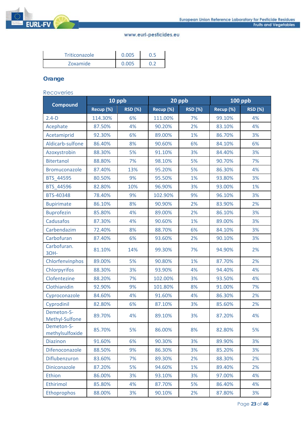

| <b>Triticonazole</b> | 0.005 |  |
|----------------------|-------|--|
| Zoxamide             | 0.005 |  |

# **Orange**

#### Recoveries

|                               | 10 ppb    |                | 20 ppb    |                | <b>100 ppb</b> |                |
|-------------------------------|-----------|----------------|-----------|----------------|----------------|----------------|
| <b>Compound</b>               | Recup (%) | <b>RSD (%)</b> | Recup (%) | <b>RSD (%)</b> | Recup (%)      | <b>RSD (%)</b> |
| $2.4-D$                       | 114.30%   | 6%             | 111.00%   | 7%             | 99.10%         | 4%             |
| Acephate                      | 87.50%    | 4%             | 90.20%    | 2%             | 83.10%         | 4%             |
| Acetamiprid                   | 92.30%    | 6%             | 89.00%    | 1%             | 86.70%         | 3%             |
| Aldicarb-sulfone              | 86.40%    | 8%             | 90.60%    | 6%             | 84.10%         | 6%             |
| Azoxystrobin                  | 88.30%    | 5%             | 91.10%    | 3%             | 84.40%         | 3%             |
| <b>Bitertanol</b>             | 88.80%    | 7%             | 98.10%    | 5%             | 90.70%         | 7%             |
| Bromuconazole                 | 87.40%    | 13%            | 95.20%    | 5%             | 86.30%         | 4%             |
| BTS_44595                     | 80.50%    | 9%             | 95.50%    | 1%             | 93.80%         | 3%             |
| BTS_44596                     | 82.80%    | 10%            | 96.90%    | 3%             | 93.00%         | 1%             |
| BTS-40348                     | 78.40%    | 9%             | 102.90%   | 9%             | 96.10%         | 3%             |
| <b>Bupirimate</b>             | 86.10%    | 8%             | 90.90%    | 2%             | 83.90%         | 2%             |
| <b>Buprofezin</b>             | 85.80%    | 4%             | 89.00%    | 2%             | 86.10%         | 3%             |
| Cadusafos                     | 87.30%    | 4%             | 90.60%    | 1%             | 89.00%         | 3%             |
| Carbendazim                   | 72.40%    | 8%             | 88.70%    | 6%             | 84.10%         | 3%             |
| Carbofuran                    | 87.40%    | 6%             | 93.60%    | 2%             | 90.10%         | 3%             |
| Carbofuran.<br>30H-           | 81.10%    | 14%            | 99.30%    | 7%             | 94.90%         | 2%             |
| Chlorfenvinphos               | 89.00%    | 5%             | 90.80%    | 1%             | 87.70%         | 2%             |
| Chlorpyrifos                  | 88.30%    | 3%             | 93.90%    | 4%             | 94.40%         | 4%             |
| Clofentezine                  | 88.20%    | 7%             | 102.00%   | 3%             | 93.50%         | 4%             |
| Clothianidin                  | 92.90%    | 9%             | 101.80%   | 8%             | 91.00%         | 7%             |
| Cyproconazole                 | 84.60%    | 4%             | 91.60%    | 4%             | 86.30%         | 2%             |
| Cyprodinil                    | 82.80%    | 6%             | 87.10%    | 3%             | 85.60%         | 2%             |
| Demeton-S-<br>Methyl-Sulfone  | 89.70%    | 4%             | 89.10%    | 3%             | 87.20%         | 4%             |
| Demeton-S-<br>methylsulfoxide | 85.70%    | 5%             | 86.00%    | 8%             | 82.80%         | 5%             |
| <b>Diazinon</b>               | 91.60%    | 6%             | 90.30%    | 3%             | 89.90%         | 3%             |
| Difenoconazole                | 88.50%    | 9%             | 86.30%    | 3%             | 85.20%         | 3%             |
| Diflubenzuron                 | 83.60%    | 7%             | 89.30%    | 2%             | 88.30%         | 2%             |
| Diniconazole                  | 87.20%    | 5%             | 94.60%    | 1%             | 89.40%         | 2%             |
| Ethion                        | 86.00%    | 3%             | 93.10%    | 3%             | 97.00%         | 4%             |
| Ethirimol                     | 85.80%    | 4%             | 87.70%    | 5%             | 86.40%         | 4%             |
| Ethoprophos                   | 88.00%    | 3%             | 90.10%    | 2%             | 87.80%         | 3%             |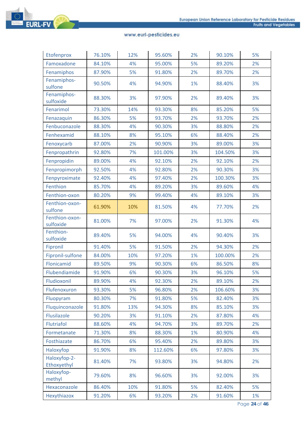

| Etofenprox                  | 76.10% | 12% | 95.60%  | 2% | 90.10%  | 5% |
|-----------------------------|--------|-----|---------|----|---------|----|
| Famoxadone                  | 84.10% | 4%  | 95.00%  | 5% | 89.20%  | 2% |
| Fenamiphos                  | 87.90% | 5%  | 91.80%  | 2% | 89.70%  | 2% |
| Fenamiphos-<br>sulfone      | 90.50% | 4%  | 94.90%  | 1% | 88.40%  | 3% |
| Fenamiphos-<br>sulfoxide    | 88.30% | 3%  | 97.90%  | 2% | 89.40%  | 3% |
| Fenarimol                   | 73.30% | 14% | 93.30%  | 8% | 85.20%  | 5% |
| Fenazaquin                  | 86.30% | 5%  | 93.70%  | 2% | 93.70%  | 2% |
| Fenbuconazole               | 88.30% | 4%  | 90.30%  | 3% | 88.80%  | 2% |
| Fenhexamid                  | 88.10% | 8%  | 95.10%  | 6% | 88.40%  | 2% |
| Fenoxycarb                  | 87.00% | 2%  | 90.90%  | 3% | 89.00%  | 3% |
| Fenpropathrin               | 92.80% | 7%  | 101.00% | 3% | 104.50% | 3% |
| Fenpropidin                 | 89.00% | 4%  | 92.10%  | 2% | 92.10%  | 2% |
| Fenpropimorph               | 92.50% | 4%  | 92.80%  | 2% | 90.30%  | 3% |
| Fenpyroximate               | 92.40% | 4%  | 97.40%  | 2% | 100.30% | 3% |
| Fenthion                    | 85.70% | 4%  | 89.20%  | 3% | 89.60%  | 4% |
| Fenthion-oxon               | 80.20% | 9%  | 99.40%  | 4% | 89.10%  | 3% |
| Fenthion-oxon-<br>sulfone   | 61.90% | 10% | 81.50%  | 4% | 77.70%  | 2% |
| Fenthion-oxon-<br>sulfoxide | 81.00% | 7%  | 97.00%  | 2% | 91.30%  | 4% |
| Fenthion-<br>sulfoxide      | 89.40% | 5%  | 94.00%  | 4% | 90.40%  | 3% |
| Fipronil                    | 91.40% | 5%  | 91.50%  | 2% | 94.30%  | 2% |
| Fipronil-sulfone            | 84.00% | 10% | 97.20%  | 1% | 100.00% | 2% |
| Flonicamid                  | 89.50% | 9%  | 90.30%  | 6% | 86.50%  | 8% |
| Flubendiamide               | 91.90% | 6%  | 90.30%  | 3% | 96.10%  | 5% |
| Fludioxonil                 | 89.90% | 4%  | 92.30%  | 2% | 89.10%  | 2% |
| Flufenoxuron                | 93.30% | 5%  | 96.80%  | 2% | 106.60% | 3% |
| Fluopyram                   | 80.30% | 7%  | 91.80%  | 5% | 82.40%  | 3% |
| Fluquinconazole             | 91.80% | 13% | 94.30%  | 8% | 85.10%  | 3% |
| Flusilazole                 | 90.20% | 3%  | 91.10%  | 2% | 87.80%  | 4% |
| Flutriafol                  | 88.60% | 4%  | 94.70%  | 3% | 89.70%  | 2% |
| Formetanate                 | 71.30% | 8%  | 88.30%  | 1% | 80.90%  | 4% |
| Fosthiazate                 | 86.70% | 6%  | 95.40%  | 2% | 89.80%  | 3% |
| Haloxyfop                   | 91.90% | 8%  | 112.60% | 6% | 97.80%  | 3% |
| Haloxyfop-2-<br>Ethoxyethyl | 81.40% | 7%  | 93.80%  | 3% | 94.80%  | 2% |
| Haloxyfop-<br>methyl        | 79.60% | 8%  | 96.60%  | 3% | 92.00%  | 3% |
| Hexaconazole                | 86.40% | 10% | 91.80%  | 5% | 82.40%  | 5% |
| Hexythiazox                 | 91.20% | 6%  | 93.20%  | 2% | 91.60%  | 1% |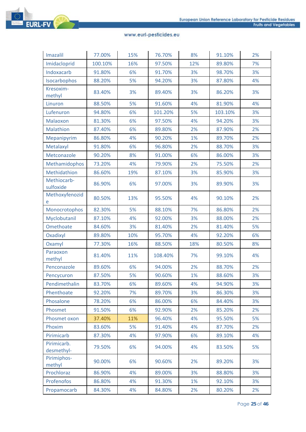

| <b>Imazalil</b>           | 77.00%  | 15% | 76.70%  | 8%  | 91.10%  | 2% |
|---------------------------|---------|-----|---------|-----|---------|----|
| Imidacloprid              | 100.10% | 16% | 97.50%  | 12% | 89.80%  | 7% |
| Indoxacarb                | 91.80%  | 6%  | 91.70%  | 3%  | 98.70%  | 3% |
| Isocarbophos              | 88.20%  | 5%  | 94.20%  | 3%  | 87.80%  | 4% |
| Kresoxim-<br>methyl       | 83.40%  | 3%  | 89.40%  | 3%  | 86.20%  | 3% |
| Linuron                   | 88.50%  | 5%  | 91.60%  | 4%  | 81.90%  | 4% |
| Lufenuron                 | 94.80%  | 6%  | 101.20% | 5%  | 103.10% | 3% |
| Malaoxon                  | 81.30%  | 6%  | 97.50%  | 4%  | 94.20%  | 3% |
| Malathion                 | 87.40%  | 6%  | 89.80%  | 2%  | 87.90%  | 2% |
| Mepanipyrim               | 86.80%  | 4%  | 90.20%  | 1%  | 89.70%  | 2% |
| Metalaxyl                 | 91.80%  | 6%  | 96.80%  | 2%  | 88.70%  | 3% |
| Metconazole               | 90.20%  | 8%  | 91.00%  | 6%  | 86.00%  | 3% |
| Methamidophos             | 73.20%  | 4%  | 79.90%  | 2%  | 75.50%  | 2% |
| Methidathion              | 86.60%  | 19% | 87.10%  | 3%  | 85.90%  | 3% |
| Methiocarb-<br>sulfoxide  | 86.90%  | 6%  | 97.00%  | 3%  | 89.90%  | 3% |
| Methoxyfenozid<br>e       | 80.50%  | 13% | 95.50%  | 4%  | 90.10%  | 2% |
| Monocrotophos             | 82.30%  | 5%  | 88.10%  | 7%  | 86.80%  | 2% |
| Myclobutanil              | 87.10%  | 4%  | 92.00%  | 3%  | 88.00%  | 2% |
| Omethoate                 | 84.60%  | 3%  | 81.40%  | 2%  | 81.40%  | 5% |
| Oxadixyl                  | 89.80%  | 10% | 95.70%  | 4%  | 92.20%  | 6% |
| Oxamyl                    | 77.30%  | 16% | 88.50%  | 18% | 80.50%  | 8% |
| Paraoxon<br>methyl        | 81.40%  | 11% | 108.40% | 7%  | 99.10%  | 4% |
| Penconazole               | 89.60%  | 6%  | 94.00%  | 2%  | 88.70%  | 2% |
| Pencycuron                | 87.50%  | 5%  | 90.60%  | 1%  | 88.60%  | 3% |
| Pendimethalin             | 83.70%  | 6%  | 89.60%  | 4%  | 94.90%  | 3% |
| Phenthoate                | 92.20%  | 7%  | 89.70%  | 3%  | 86.30%  | 3% |
| Phosalone                 | 78.20%  | 6%  | 86.00%  | 6%  | 84.40%  | 3% |
| Phosmet                   | 91.50%  | 6%  | 92.90%  | 2%  | 85.20%  | 2% |
| Phosmet oxon              | 37.40%  | 11% | 96.40%  | 4%  | 95.50%  | 5% |
| Phoxim                    | 83.60%  | 5%  | 91.40%  | 4%  | 87.70%  | 2% |
| Pirimicarb                | 87.30%  | 4%  | 97.90%  | 6%  | 89.10%  | 4% |
| Pirimicarb.<br>desmethyl- | 79.50%  | 6%  | 94.00%  | 4%  | 83.50%  | 5% |
| Pirimiphos-<br>methyl     | 90.00%  | 6%  | 90.60%  | 2%  | 89.20%  | 3% |
| Prochloraz                | 86.90%  | 4%  | 89.00%  | 3%  | 88.80%  | 3% |
| Profenofos                | 86.80%  | 4%  | 91.30%  | 1%  | 92.10%  | 3% |
| Propamocarb               | 84.30%  | 4%  | 84.80%  | 2%  | 80.20%  | 2% |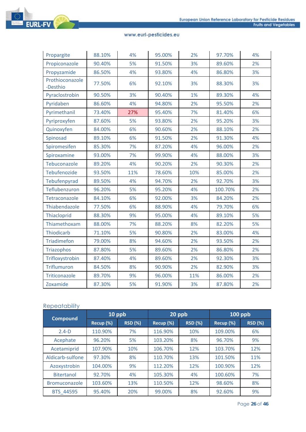

| Propargite                  | 88.10% | 4%  | 95.00% | 2%  | 97.70%  | 4% |
|-----------------------------|--------|-----|--------|-----|---------|----|
| Propiconazole               | 90.40% | 5%  | 91.50% | 3%  | 89.60%  | 2% |
| Propyzamide                 | 86.50% | 4%  | 93.80% | 4%  | 86.80%  | 3% |
| Prothioconazole<br>-Desthio | 77.50% | 6%  | 92.10% | 3%  | 88.30%  | 3% |
| Pyraclostrobin              | 90.50% | 3%  | 90.40% | 1%  | 89.30%  | 4% |
| Pyridaben                   | 86.60% | 4%  | 94.80% | 2%  | 95.50%  | 2% |
| Pyrimethanil                | 73.40% | 27% | 95.40% | 7%  | 81.40%  | 6% |
| Pyriproxyfen                | 87.60% | 5%  | 93.80% | 2%  | 95.20%  | 3% |
| Quinoxyfen                  | 84.00% | 6%  | 90.60% | 2%  | 88.10%  | 2% |
| Spinosad                    | 89.10% | 6%  | 91.50% | 2%  | 91.30%  | 4% |
| Spiromesifen                | 85.30% | 7%  | 87.20% | 4%  | 96.00%  | 2% |
| Spiroxamine                 | 93.00% | 7%  | 99.90% | 4%  | 88.00%  | 3% |
| Tebuconazole                | 89.20% | 4%  | 90.20% | 2%  | 90.30%  | 2% |
| Tebufenozide                | 93.50% | 11% | 78.60% | 10% | 85.00%  | 2% |
| Tebufenpyrad                | 89.50% | 4%  | 94.70% | 2%  | 92.70%  | 3% |
| Teflubenzuron               | 96.20% | 5%  | 95.20% | 4%  | 100.70% | 2% |
| Tetraconazole               | 84.10% | 6%  | 92.00% | 3%  | 84.20%  | 2% |
| Thiabendazole               | 77.50% | 6%  | 88.90% | 4%  | 79.70%  | 6% |
| Thiacloprid                 | 88.30% | 9%  | 95.00% | 4%  | 89.10%  | 5% |
| Thiamethoxam                | 88.00% | 7%  | 88.20% | 8%  | 82.20%  | 5% |
| <b>Thiodicarb</b>           | 71.10% | 5%  | 90.80% | 2%  | 83.00%  | 4% |
| <b>Triadimefon</b>          | 79.00% | 8%  | 94.60% | 2%  | 93.50%  | 2% |
| <b>Triazophos</b>           | 87.80% | 5%  | 89.60% | 2%  | 86.80%  | 2% |
| Trifloxystrobin             | 87.40% | 4%  | 89.60% | 2%  | 92.30%  | 3% |
| <b>Triflumuron</b>          | 84.50% | 8%  | 90.90% | 2%  | 82.90%  | 3% |
| Triticonazole               | 89.70% | 9%  | 96.00% | 11% | 86.00%  | 2% |
| Zoxamide                    | 87.30% | 5%  | 91.90% | 3%  | 87.80%  | 2% |

#### **Repeatability**

|                   | 10 ppb    |                | 20 ppb    |                | $100$ ppb |                |
|-------------------|-----------|----------------|-----------|----------------|-----------|----------------|
| <b>Compound</b>   | Recup (%) | <b>RSD (%)</b> | Recup (%) | <b>RSD (%)</b> | Recup (%) | <b>RSD (%)</b> |
| $2.4-D$           | 110.90%   | 7%             | 116.90%   | 10%            | 109.00%   | 6%             |
| Acephate          | 96.20%    | 5%             | 103.20%   | 8%             | 96.70%    | 9%             |
| Acetamiprid       | 107.90%   | 10%            | 106.70%   | 12%            | 103.70%   | 12%            |
| Aldicarb-sulfone  | 97.30%    | 8%             | 110.70%   | 13%            | 101.50%   | 11%            |
| Azoxystrobin      | 104.00%   | 9%             | 112.20%   | 12%            | 100.90%   | 12%            |
| <b>Bitertanol</b> | 92.70%    | 4%             | 105.30%   | 4%             | 100.60%   | 7%             |
| Bromuconazole     | 103.60%   | 13%            | 110.50%   | 12%            | 98.60%    | 8%             |
| BTS 44595         | 95.40%    | 20%            | 99.00%    | 8%             | 92.60%    | 9%             |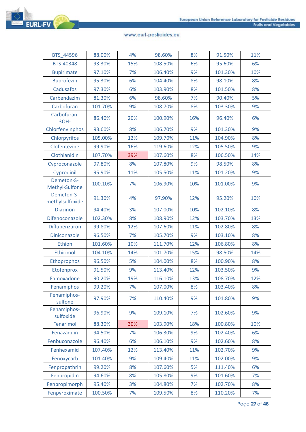

| BTS_44596                     | 88.00%  | 4%  | 98.60%  | 8%  | 91.50%  | 11% |
|-------------------------------|---------|-----|---------|-----|---------|-----|
| BTS-40348                     | 93.30%  | 15% | 108.50% | 6%  | 95.60%  | 6%  |
| <b>Bupirimate</b>             | 97.10%  | 7%  | 106.40% | 9%  | 101.30% | 10% |
| <b>Buprofezin</b>             | 95.30%  | 6%  | 104.40% | 8%  | 98.10%  | 8%  |
| Cadusafos                     | 97.30%  | 6%  | 103.90% | 8%  | 101.50% | 8%  |
| Carbendazim                   | 81.30%  | 6%  | 98.60%  | 7%  | 90.40%  | 5%  |
| Carbofuran                    | 101.70% | 9%  | 108.70% | 8%  | 103.30% | 9%  |
| Carbofuran.<br>30H-           | 86.40%  | 20% | 100.90% | 16% | 96.40%  | 6%  |
| Chlorfenvinphos               | 93.60%  | 8%  | 106.70% | 9%  | 101.30% | 9%  |
| Chlorpyrifos                  | 105.00% | 12% | 109.70% | 11% | 104.90% | 8%  |
| Clofentezine                  | 99.90%  | 16% | 119.60% | 12% | 105.50% | 9%  |
| Clothianidin                  | 107.70% | 39% | 107.60% | 8%  | 106.50% | 14% |
| Cyproconazole                 | 97.80%  | 8%  | 107.80% | 9%  | 98.50%  | 8%  |
| Cyprodinil                    | 95.90%  | 11% | 105.50% | 11% | 101.20% | 9%  |
| Demeton-S-<br>Methyl-Sulfone  | 100.10% | 7%  | 106.90% | 10% | 101.00% | 9%  |
| Demeton-S-<br>methylsulfoxide | 91.30%  | 4%  | 97.90%  | 12% | 95.20%  | 10% |
| <b>Diazinon</b>               | 94.40%  | 3%  | 107.00% | 10% | 102.10% | 8%  |
| Difenoconazole                | 102.30% | 8%  | 108.90% | 12% | 103.70% | 13% |
| Diflubenzuron                 | 99.80%  | 12% | 107.60% | 11% | 102.80% | 8%  |
| Diniconazole                  | 96.50%  | 7%  | 105.70% | 9%  | 103.10% | 8%  |
| Ethion                        | 101.60% | 10% | 111.70% | 12% | 106.80% | 8%  |
| Ethirimol                     | 104.10% | 14% | 101.70% | 15% | 98.50%  | 14% |
| Ethoprophos                   | 96.50%  | 5%  | 104.00% | 8%  | 100.90% | 8%  |
| Etofenprox                    | 91.50%  | 9%  | 113.40% | 12% | 103.50% | 9%  |
| Famoxadone                    | 90.20%  | 19% | 116.10% | 13% | 108.70% | 12% |
| Fenamiphos                    | 99.20%  | 7%  | 107.00% | 8%  | 103.40% | 8%  |
| Fenamiphos-<br>sulfone        | 97.90%  | 7%  | 110.40% | 9%  | 101.80% | 9%  |
| Fenamiphos-<br>sulfoxide      | 96.90%  | 9%  | 109.10% | 7%  | 102.60% | 9%  |
| Fenarimol                     | 88.30%  | 30% | 103.90% | 18% | 100.80% | 10% |
| Fenazaquin                    | 94.50%  | 7%  | 106.30% | 9%  | 102.40% | 6%  |
| Fenbuconazole                 | 96.40%  | 6%  | 106.10% | 9%  | 102.60% | 8%  |
| Fenhexamid                    | 107.40% | 12% | 113.40% | 11% | 102.70% | 9%  |
| Fenoxycarb                    | 101.40% | 9%  | 109.40% | 11% | 102.00% | 9%  |
| Fenpropathrin                 | 99.20%  | 8%  | 107.60% | 5%  | 111.40% | 6%  |
| Fenpropidin                   | 94.60%  | 8%  | 105.80% | 9%  | 101.60% | 7%  |
| Fenpropimorph                 | 95.40%  | 3%  | 104.80% | 7%  | 102.70% | 8%  |
| Fenpyroximate                 | 100.50% | 7%  | 109.50% | 8%  | 110.20% | 7%  |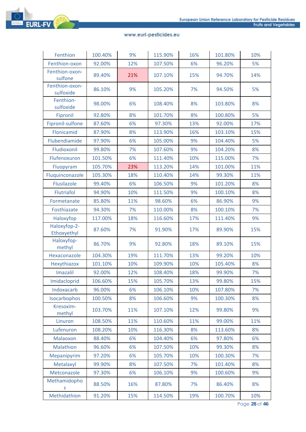

| Fenthion                    | 100.40% | 9%  | 115.90% | 16% | 101.80% | 10% |
|-----------------------------|---------|-----|---------|-----|---------|-----|
| Fenthion-oxon               | 92.00%  | 12% | 107.50% | 6%  | 96.20%  | 5%  |
| Fenthion-oxon-<br>sulfone   | 89.40%  | 21% | 107.10% | 15% | 94.70%  | 14% |
| Fenthion-oxon-<br>sulfoxide | 86.10%  | 9%  | 105.20% | 7%  | 94.50%  | 5%  |
| Fenthion-<br>sulfoxide      | 98.00%  | 6%  | 108.40% | 8%  | 103.80% | 8%  |
| Fipronil                    | 92.80%  | 8%  | 101.70% | 8%  | 100.80% | 5%  |
| Fipronil-sulfone            | 87.60%  | 6%  | 97.30%  | 13% | 92.00%  | 17% |
| Flonicamid                  | 87.90%  | 8%  | 113.90% | 16% | 103.10% | 15% |
| Flubendiamide               | 97.90%  | 6%  | 105.00% | 9%  | 104.40% | 5%  |
| Fludioxonil                 | 99.80%  | 7%  | 107.60% | 9%  | 104.20% | 8%  |
| Flufenoxuron                | 101.50% | 6%  | 111.40% | 10% | 115.00% | 7%  |
| Fluopyram                   | 105.70% | 23% | 113.20% | 14% | 101.00% | 11% |
| Fluquinconazole             | 105.30% | 18% | 110.40% | 14% | 99.30%  | 11% |
| Flusilazole                 | 99.40%  | 6%  | 106.50% | 9%  | 101.20% | 8%  |
| Flutriafol                  | 94.90%  | 10% | 111.50% | 9%  | 100.10% | 8%  |
| Formetanate                 | 85.80%  | 11% | 98.60%  | 6%  | 86.90%  | 9%  |
| Fosthiazate                 | 94.30%  | 7%  | 110.00% | 8%  | 100.10% | 7%  |
| Haloxyfop                   | 117.00% | 18% | 116.60% | 17% | 111.40% | 9%  |
| Haloxyfop-2-<br>Ethoxyethyl | 87.60%  | 7%  | 91.90%  | 17% | 89.90%  | 15% |
| Haloxyfop-<br>methyl        | 86.70%  | 9%  | 92.80%  | 18% | 89.10%  | 15% |
| Hexaconazole                | 104.30% | 19% | 111.70% | 13% | 99.20%  | 10% |
| Hexythiazox                 | 101.10% | 10% | 109.90% | 10% | 105.40% | 8%  |
| <b>Imazalil</b>             | 92.00%  | 12% | 108.40% | 18% | 99.90%  | 7%  |
| Imidacloprid                | 106.60% | 15% | 105.70% | 13% | 99.80%  | 15% |
| Indoxacarb                  | 96.00%  | 6%  | 106.10% | 10% | 107.80% | 7%  |
| Isocarbophos                | 100.50% | 8%  | 106.60% | 9%  | 100.30% | 8%  |
| Kresoxim-<br>methyl         | 103.70% | 11% | 107.10% | 12% | 99.80%  | 9%  |
| Linuron                     | 108.50% | 11% | 110.60% | 11% | 99.00%  | 11% |
| Lufenuron                   | 108.20% | 10% | 116.30% | 8%  | 113.60% | 8%  |
| Malaoxon                    | 88.40%  | 6%  | 104.40% | 6%  | 97.80%  | 6%  |
| Malathion                   | 96.60%  | 6%  | 107.50% | 10% | 99.30%  | 8%  |
| Mepanipyrim                 | 97.20%  | 6%  | 105.70% | 10% | 100.30% | 7%  |
| Metalaxyl                   | 99.90%  | 8%  | 107.50% | 7%  | 101.40% | 8%  |
| Metconazole                 | 97.30%  | 6%  | 106.10% | 9%  | 100.60% | 9%  |
| Methamidopho<br>S           | 88.50%  | 16% | 87.80%  | 7%  | 86.40%  | 8%  |
| Methidathion                | 91.20%  | 15% | 114.50% | 19% | 100.70% | 10% |

Page **28** of **46**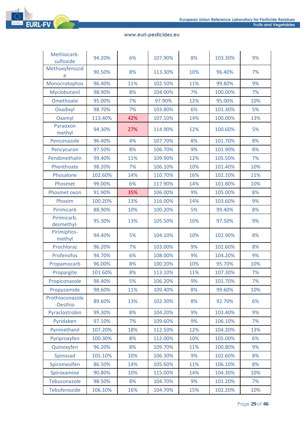

| Methiocarb-<br>sulfoxide    | 94.20%  | 6%  | 107.90% | 8%  | 103.30% | 9%  |
|-----------------------------|---------|-----|---------|-----|---------|-----|
| Methoxyfenozid<br>e         | 90.50%  | 8%  | 113.30% | 10% | 96.40%  | 7%  |
| Monocrotophos               | 96.40%  | 11% | 102.50% | 11% | 99.80%  | 9%  |
| Myclobutanil                | 98.90%  | 8%  | 104.00% | 7%  | 100.00% | 7%  |
| Omethoate                   | 95.00%  | 7%  | 97.90%  | 12% | 95.00%  | 10% |
| Oxadixyl                    | 98.70%  | 7%  | 103.80% | 6%  | 101.30% | 5%  |
| Oxamyl                      | 113.40% | 42% | 107.10% | 14% | 100.00% | 13% |
| Paraoxon<br>methyl          | 94.30%  | 27% | 114.90% | 12% | 100.60% | 5%  |
| Penconazole                 | 96.40%  | 4%  | 107.70% | 8%  | 101.70% | 8%  |
| Pencycuron                  | 97.50%  | 8%  | 106.70% | 9%  | 101.90% | 8%  |
| Pendimethalin               | 99.40%  | 11% | 109.90% | 12% | 105.50% | 7%  |
| Phenthoate                  | 98.20%  | 7%  | 106.10% | 10% | 101.40% | 10% |
| Phosalone                   | 102.60% | 14% | 110.70% | 16% | 102.10% | 11% |
| Phosmet                     | 99.00%  | 6%  | 117.90% | 14% | 101.80% | 10% |
| Phosmet oxon                | 91.90%  | 35% | 106.00% | 9%  | 105.00% | 8%  |
| Phoxim                      | 100.20% | 13% | 116.00% | 14% | 103.60% | 9%  |
| Pirimicarb                  | 88.90%  | 10% | 100.20% | 5%  | 99.40%  | 8%  |
| Pirimicarb.<br>desmethyl-   | 95.30%  | 13% | 105.50% | 10% | 97.50%  | 9%  |
| Pirimiphos-<br>methyl       | 94.40%  | 5%  | 104.10% | 10% | 102.90% | 8%  |
| Prochloraz                  | 96.20%  | 7%  | 103.00% | 9%  | 102.60% | 8%  |
| Profenofos                  | 94.70%  | 6%  | 108.00% | 9%  | 104.20% | 9%  |
| Propamocarb                 | 96.00%  | 8%  | 100.20% | 10% | 95.70%  | 10% |
| Propargite                  | 101.60% | 8%  | 113.10% | 11% | 107.30% | 7%  |
| Propiconazole               | 98.40%  | 5%  | 106.20% | 9%  | 101.70% | 7%  |
| Propyzamide                 | 98.60%  | 11% | 109.40% | 8%  | 99.60%  | 10% |
| Prothioconazole<br>-Desthio | 89.60%  | 13% | 102.30% | 8%  | 92.70%  | 6%  |
| Pyraclostrobin              | 99.30%  | 8%  | 104.20% | 9%  | 103.40% | 9%  |
| Pyridaben                   | 97.10%  | 7%  | 109.60% | 9%  | 106.10% | 7%  |
| Pyrimethanil                | 107.20% | 18% | 112.50% | 12% | 104.20% | 13% |
| Pyriproxyfen                | 100.30% | 8%  | 112.00% | 10% | 105.00% | 6%  |
| Quinoxyfen                  | 96.20%  | 8%  | 109.70% | 11% | 100.80% | 9%  |
| Spinosad                    | 105.10% | 10% | 106.30% | 9%  | 102.60% | 8%  |
| Spiromesifen                | 86.50%  | 14% | 105.60% | 11% | 106.10% | 8%  |
| Spiroxamine                 | 90.80%  | 10% | 115.00% | 14% | 104.30% | 10% |
| Tebuconazole                | 98.50%  | 8%  | 104.70% | 9%  | 101.20% | 7%  |
| Tebufenozide                | 106.10% | 16% | 104.70% | 15% | 102.20% | 10% |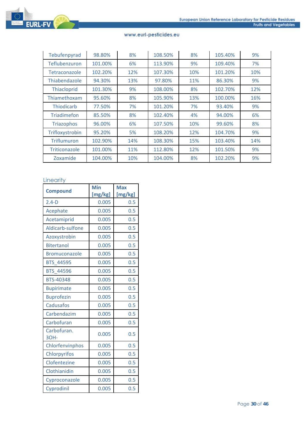

| Tebufenpyrad         | 98.80%  | 8%  | 108.50% | 8%  | 105.40% | 9%  |
|----------------------|---------|-----|---------|-----|---------|-----|
| Teflubenzuron        | 101.00% | 6%  | 113.90% | 9%  | 109.40% | 7%  |
| Tetraconazole        | 102.20% | 12% | 107.30% | 10% | 101.20% | 10% |
| Thiabendazole        | 94.30%  | 13% | 97.80%  | 11% | 86.30%  | 9%  |
| Thiacloprid          | 101.30% | 9%  | 108.00% | 8%  | 102.70% | 12% |
| Thiamethoxam         | 95.60%  | 8%  | 105.90% | 13% | 100.00% | 16% |
| <b>Thiodicarb</b>    | 77.50%  | 7%  | 101.20% | 7%  | 93.40%  | 9%  |
| <b>Triadimefon</b>   | 85.50%  | 8%  | 102.40% | 4%  | 94.00%  | 6%  |
| <b>Triazophos</b>    | 96.00%  | 6%  | 107.50% | 10% | 99.60%  | 8%  |
| Trifloxystrobin      | 95.20%  | 5%  | 108.20% | 12% | 104.70% | 9%  |
| Triflumuron          | 102.90% | 14% | 108.30% | 15% | 103.40% | 14% |
| <b>Triticonazole</b> | 101.00% | 11% | 112.80% | 12% | 101.50% | 9%  |
| Zoxamide             | 104.00% | 10% | 104.00% | 8%  | 102.20% | 9%  |

# **Linearity**

| <b>Compound</b>      | Min     | <b>Max</b> |  |
|----------------------|---------|------------|--|
|                      | [mg/kg] | [mg/kg]    |  |
| $2.4-D$              | 0.005   | 0.5        |  |
| Acephate             | 0.005   | 0.5        |  |
| Acetamiprid          | 0.005   | 0.5        |  |
| Aldicarb-sulfone     | 0.005   | 0.5        |  |
| Azoxystrobin         | 0.005   | 0.5        |  |
| <b>Bitertanol</b>    | 0.005   | 0.5        |  |
| <b>Bromuconazole</b> | 0.005   | 0.5        |  |
| <b>BTS 44595</b>     | 0.005   | 0.5        |  |
| <b>BTS 44596</b>     | 0.005   | 0.5        |  |
| <b>BTS-40348</b>     | 0.005   | 0.5        |  |
| <b>Bupirimate</b>    | 0.005   | 0.5        |  |
| <b>Buprofezin</b>    | 0.005   | 0.5        |  |
| Cadusafos            | 0.005   | 0.5        |  |
| Carbendazim          | 0.005   | 0.5        |  |
| Carbofuran           | 0.005   | 0.5        |  |
| Carbofuran.<br>30H-  | 0.005   | 0.5        |  |
| Chlorfenvinphos      | 0.005   | 0.5        |  |
| Chlorpyrifos         | 0.005   | 0.5        |  |
| Clofentezine         | 0.005   | 0.5        |  |
| Clothianidin         | 0.005   | 0.5        |  |
| Cyproconazole        | 0.005   | 0.5        |  |
| Cyprodinil           | 0.005   | 0.5        |  |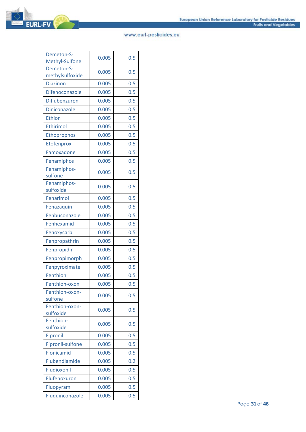

| Demeton-S-<br>Methyl-Sulfone  | 0.005 | 0.5 |
|-------------------------------|-------|-----|
| Demeton-S-<br>methylsulfoxide | 0.005 | 0.5 |
| <b>Diazinon</b>               | 0.005 | 0.5 |
| Difenoconazole                | 0.005 | 0.5 |
| Diflubenzuron                 | 0.005 | 0.5 |
| <b>Diniconazole</b>           | 0.005 | 0.5 |
| Ethion                        | 0.005 | 0.5 |
| <b>Ethirimol</b>              | 0.005 | 0.5 |
| Ethoprophos                   | 0.005 | 0.5 |
| Etofenprox                    | 0.005 | 0.5 |
| Famoxadone                    | 0.005 | 0.5 |
| Fenamiphos                    | 0.005 | 0.5 |
| Fenamiphos-<br>sulfone        | 0.005 | 0.5 |
| Fenamiphos-<br>sulfoxide      | 0.005 | 0.5 |
| Fenarimol                     | 0.005 | 0.5 |
| Fenazaquin                    | 0.005 | 0.5 |
| Fenbuconazole                 | 0.005 | 0.5 |
| Fenhexamid                    | 0.005 | 0.5 |
| Fenoxycarb                    | 0.005 | 0.5 |
| Fenpropathrin                 | 0.005 | 0.5 |
| Fenpropidin                   | 0.005 | 0.5 |
| Fenpropimorph                 | 0.005 | 0.5 |
| Fenpyroximate                 | 0.005 | 0.5 |
| Fenthion                      | 0.005 | 0.5 |
| Fenthion-oxon                 | 0.005 | 0.5 |
| Fenthion-oxon-<br>sulfone     | 0.005 | 0.5 |
| Fenthion-oxon-<br>sulfoxide   | 0.005 | 0.5 |
| Fenthion-<br>sulfoxide        | 0.005 | 0.5 |
| Fipronil                      | 0.005 | 0.5 |
| Fipronil-sulfone              | 0.005 | 0.5 |
| Flonicamid                    | 0.005 | 0.5 |
| Flubendiamide                 | 0.005 | 0.2 |
| Fludioxonil                   | 0.005 | 0.5 |
| Flufenoxuron                  | 0.005 | 0.5 |
| Fluopyram                     | 0.005 | 0.5 |
| Fluquinconazole               | 0.005 | 0.5 |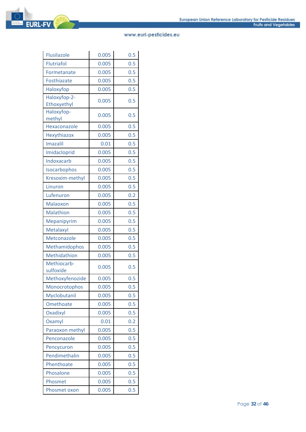| Flusilazole                 | 0.005 | 0.5 |
|-----------------------------|-------|-----|
| <b>Flutriafol</b>           | 0.005 | 0.5 |
| Formetanate                 | 0.005 | 0.5 |
| Fosthiazate                 | 0.005 | 0.5 |
| Haloxyfop                   | 0.005 | 0.5 |
| Haloxyfop-2-<br>Ethoxyethyl | 0.005 | 0.5 |
| Haloxyfop-<br>methyl        | 0.005 | 0.5 |
| Hexaconazole                | 0.005 | 0.5 |
| Hexythiazox                 | 0.005 | 0.5 |
| <b>Imazalil</b>             | 0.01  | 0.5 |
| Imidacloprid                | 0.005 | 0.5 |
| Indoxacarb                  | 0.005 | 0.5 |
| Isocarbophos                | 0.005 | 0.5 |
| Kresoxim-methyl             | 0.005 | 0.5 |
| Linuron                     | 0.005 | 0.5 |
| Lufenuron                   | 0.005 | 0.2 |
| Malaoxon                    | 0.005 | 0.5 |
| Malathion                   | 0.005 | 0.5 |
| Mepanipyrim                 | 0.005 | 0.5 |
| Metalaxyl                   | 0.005 | 0.5 |
| Metconazole                 | 0.005 | 0.5 |
| Methamidophos               | 0.005 | 0.5 |
| Methidathion                | 0.005 | 0.5 |
| Methiocarb-<br>sulfoxide    | 0.005 | 0.5 |
| Methoxyfenozide             | 0.005 | 0.5 |
| Monocrotophos               | 0.005 | 0.5 |
| Myclobutanil                | 0.005 | 0.5 |
| Omethoate                   | 0.005 | 0.5 |
| Oxadixyl                    | 0.005 | 0.5 |
| Oxamyl                      | 0.01  | 0.2 |
| Paraoxon methyl             | 0.005 | 0.5 |
| Penconazole                 | 0.005 | 0.5 |
| Pencycuron                  | 0.005 | 0.5 |
| Pendimethalin               | 0.005 | 0.5 |
| Phenthoate                  | 0.005 | 0.5 |
| Phosalone                   | 0.005 | 0.5 |
| Phosmet                     | 0.005 | 0.5 |
| Phosmet oxon                | 0.005 | 0.5 |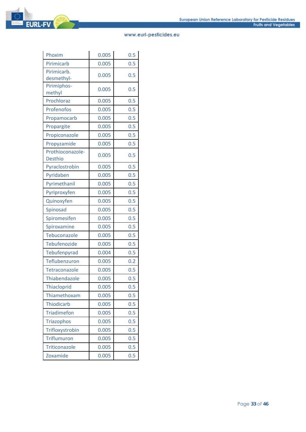| Phoxim                             | 0.005 | 0.5 |
|------------------------------------|-------|-----|
| Pirimicarb                         | 0.005 | 0.5 |
| Pirimicarb.<br>desmethyl-          | 0.005 | 0.5 |
| Pirimiphos-<br>methyl              | 0.005 | 0.5 |
| Prochloraz                         | 0.005 | 0.5 |
| Profenofos                         | 0.005 | 0.5 |
| Propamocarb                        | 0.005 | 0.5 |
| Propargite                         | 0.005 | 0.5 |
| Propiconazole                      | 0.005 | 0.5 |
| Propyzamide                        | 0.005 | 0.5 |
| Prothioconazole-<br><b>Desthio</b> | 0.005 | 0.5 |
| Pyraclostrobin                     | 0.005 | 0.5 |
| Pyridaben                          | 0.005 | 0.5 |
| Pyrimethanil                       | 0.005 | 0.5 |
| Pyriproxyfen                       | 0.005 | 0.5 |
| Quinoxyfen                         | 0.005 | 0.5 |
| Spinosad                           | 0.005 | 0.5 |
| Spiromesifen                       | 0.005 | 0.5 |
| Spiroxamine                        | 0.005 | 0.5 |
| Tebuconazole                       | 0.005 | 0.5 |
| Tebufenozide                       | 0.005 | 0.5 |
| Tebufenpyrad                       | 0.004 | 0.5 |
| Teflubenzuron                      | 0.005 | 0.2 |
| Tetraconazole                      | 0.005 | 0.5 |
| Thiabendazole                      | 0.005 | 0.5 |
| Thiacloprid                        | 0.005 | 0.5 |
| Thiamethoxam                       | 0.005 | 0.5 |
| <b>Thiodicarb</b>                  | 0.005 | 0.5 |
| <b>Triadimefon</b>                 | 0.005 | 0.5 |
| <b>Triazophos</b>                  | 0.005 | 0.5 |
| Trifloxystrobin                    | 0.005 | 0.5 |
| <b>Triflumuron</b>                 | 0.005 | 0.5 |
| Triticonazole                      | 0.005 | 0.5 |
| Zoxamide                           | 0.005 | 0.5 |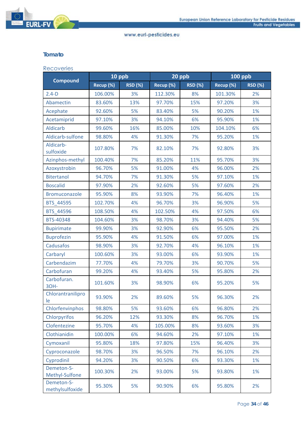

## **Tomato**

#### Recoveries

|                               | 10 ppb    |                | 20 ppb    |                | <b>100 ppb</b> |                |
|-------------------------------|-----------|----------------|-----------|----------------|----------------|----------------|
| <b>Compound</b>               | Recup (%) | <b>RSD (%)</b> | Recup (%) | <b>RSD (%)</b> | Recup (%)      | <b>RSD (%)</b> |
| $2.4-D$                       | 106.00%   | 3%             | 112.30%   | 8%             | 101.30%        | 2%             |
| Abamectin                     | 83.60%    | 13%            | 97.70%    | 15%            | 97.20%         | 3%             |
| Acephate                      | 92.60%    | 5%             | 83.40%    | 5%             | 90.20%         | 1%             |
| Acetamiprid                   | 97.10%    | 3%             | 94.10%    | 6%             | 95.90%         | 1%             |
| Aldicarb                      | 99.60%    | 16%            | 85.00%    | 10%            | 104.10%        | 6%             |
| Aldicarb-sulfone              | 98.80%    | 4%             | 91.30%    | 7%             | 95.20%         | 1%             |
| Aldicarb-<br>sulfoxide        | 107.80%   | 7%             | 82.10%    | 7%             | 92.80%         | 3%             |
| Azinphos-methyl               | 100.40%   | 7%             | 85.20%    | 11%            | 95.70%         | 3%             |
| Azoxystrobin                  | 96.70%    | 5%             | 91.00%    | 4%             | 96.00%         | 2%             |
| <b>Bitertanol</b>             | 94.70%    | 7%             | 91.30%    | 5%             | 97.10%         | 1%             |
| <b>Boscalid</b>               | 97.90%    | 2%             | 92.60%    | 5%             | 97.60%         | 2%             |
| Bromuconazole                 | 95.90%    | 8%             | 93.90%    | 7%             | 96.40%         | 1%             |
| BTS 44595                     | 102.70%   | 4%             | 96.70%    | 3%             | 96.90%         | 5%             |
| BTS 44596                     | 108.50%   | 4%             | 102.50%   | 4%             | 97.50%         | 6%             |
| BTS-40348                     | 104.60%   | 3%             | 98.70%    | 3%             | 94.40%         | 5%             |
| <b>Bupirimate</b>             | 99.90%    | 3%             | 92.90%    | 6%             | 95.50%         | 2%             |
| <b>Buprofezin</b>             | 95.90%    | 4%             | 91.50%    | 6%             | 97.00%         | 1%             |
| Cadusafos                     | 98.90%    | 3%             | 92.70%    | 4%             | 96.10%         | 1%             |
| Carbaryl                      | 100.60%   | 3%             | 93.00%    | 6%             | 93.90%         | 1%             |
| Carbendazim                   | 77.70%    | 4%             | 79.70%    | 3%             | 90.70%         | 5%             |
| Carbofuran                    | 99.20%    | 4%             | 93.40%    | 5%             | 95.80%         | 2%             |
| Carbofuran.<br>30H-           | 101.60%   | 3%             | 98.90%    | 6%             | 95.20%         | 5%             |
| Chlorantranilipro<br>le       | 93.90%    | 2%             | 89.60%    | 5%             | 96.30%         | 2%             |
| Chlorfenvinphos               | 98.80%    | 5%             | 93.60%    | 6%             | 96.80%         | 2%             |
| Chlorpyrifos                  | 96.20%    | 12%            | 93.30%    | 8%             | 96.70%         | 1%             |
| Clofentezine                  | 95.70%    | 4%             | 105.00%   | 8%             | 93.60%         | 3%             |
| Clothianidin                  | 100.00%   | 6%             | 94.60%    | 2%             | 97.10%         | 1%             |
| Cymoxanil                     | 95.80%    | 18%            | 97.80%    | 15%            | 96.40%         | 3%             |
| Cyproconazole                 | 98.70%    | 3%             | 96.50%    | 7%             | 96.10%         | 2%             |
| Cyprodinil                    | 94.20%    | 3%             | 90.50%    | 6%             | 93.30%         | 1%             |
| Demeton-S-<br>Methyl-Sulfone  | 100.30%   | 2%             | 93.00%    | 5%             | 93.80%         | 1%             |
| Demeton-S-<br>methylsulfoxide | 95.30%    | 5%             | 90.90%    | 6%             | 95.80%         | 2%             |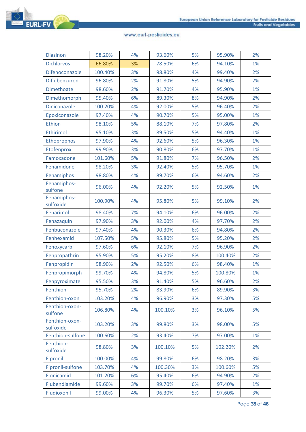# **EURL-FV**

| <b>Diazinon</b>             | 98.20%  | 4% | 93.60%  | 5% | 95.90%  | 2% |
|-----------------------------|---------|----|---------|----|---------|----|
| <b>Dichlorvos</b>           | 66.80%  | 3% | 78.50%  | 6% | 94.10%  | 1% |
| Difenoconazole              | 100.40% | 3% | 98.80%  | 4% | 99.40%  | 2% |
| Diflubenzuron               | 96.80%  | 2% | 91.80%  | 5% | 94.90%  | 2% |
| <b>Dimethoate</b>           | 98.60%  | 2% | 91.70%  | 4% | 95.90%  | 1% |
| Dimethomorph                | 95.40%  | 6% | 89.30%  | 8% | 94.90%  | 2% |
| <b>Diniconazole</b>         | 100.20% | 4% | 92.00%  | 5% | 96.40%  | 2% |
| Epoxiconazole               | 97.40%  | 4% | 90.70%  | 5% | 95.00%  | 1% |
| Ethion                      | 98.10%  | 5% | 88.10%  | 7% | 97.80%  | 2% |
| Ethirimol                   | 95.10%  | 3% | 89.50%  | 5% | 94.40%  | 1% |
| Ethoprophos                 | 97.90%  | 4% | 92.60%  | 5% | 96.30%  | 1% |
| Etofenprox                  | 99.90%  | 3% | 90.80%  | 6% | 97.70%  | 1% |
| Famoxadone                  | 101.60% | 5% | 91.80%  | 7% | 96.50%  | 2% |
| Fenamidone                  | 98.20%  | 3% | 92.40%  | 5% | 95.70%  | 1% |
| Fenamiphos                  | 98.80%  | 4% | 89.70%  | 6% | 94.60%  | 2% |
| Fenamiphos-<br>sulfone      | 96.00%  | 4% | 92.20%  | 5% | 92.50%  | 1% |
| Fenamiphos-<br>sulfoxide    | 100.90% | 4% | 95.80%  | 5% | 99.10%  | 2% |
| Fenarimol                   | 98.40%  | 7% | 94.10%  | 6% | 96.00%  | 2% |
| Fenazaquin                  | 97.90%  | 3% | 92.00%  | 4% | 97.70%  | 2% |
| Fenbuconazole               | 97.40%  | 4% | 90.30%  | 6% | 94.80%  | 2% |
| Fenhexamid                  | 107.50% | 5% | 95.80%  | 5% | 95.20%  | 2% |
| Fenoxycarb                  | 97.60%  | 6% | 92.10%  | 7% | 96.90%  | 2% |
| Fenpropathrin               | 95.90%  | 5% | 95.20%  | 8% | 100.40% | 2% |
| Fenpropidin                 | 98.90%  | 2% | 92.50%  | 6% | 98.40%  | 1% |
| Fenpropimorph               | 99.70%  | 4% | 94.80%  | 5% | 100.80% | 1% |
| Fenpyroximate               | 95.50%  | 3% | 91.40%  | 5% | 96.60%  | 2% |
| Fenthion                    | 95.70%  | 2% | 83.90%  | 6% | 89.90%  | 3% |
| Fenthion-oxon               | 103.20% | 4% | 96.90%  | 3% | 97.30%  | 5% |
| Fenthion-oxon-<br>sulfone   | 106.80% | 4% | 100.10% | 3% | 96.10%  | 5% |
| Fenthion-oxon-<br>sulfoxide | 103.20% | 3% | 99.80%  | 3% | 98.00%  | 5% |
| Fenthion-sulfone            | 100.60% | 2% | 93.40%  | 7% | 97.00%  | 1% |
| Fenthion-<br>sulfoxide      | 98.80%  | 3% | 100.10% | 5% | 102.20% | 2% |
| Fipronil                    | 100.00% | 4% | 99.80%  | 6% | 98.20%  | 3% |
| Fipronil-sulfone            | 103.70% | 4% | 100.30% | 3% | 100.60% | 5% |
| Flonicamid                  | 101.20% | 6% | 95.40%  | 6% | 94.90%  | 2% |
| Flubendiamide               | 99.60%  | 3% | 99.70%  | 6% | 97.40%  | 1% |
| Fludioxonil                 | 99.00%  | 4% | 96.30%  | 5% | 97.60%  | 3% |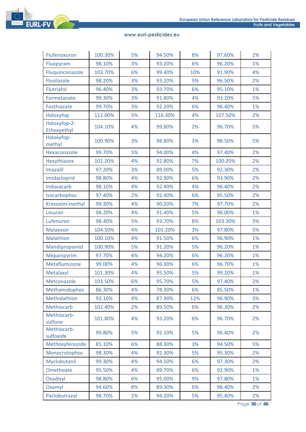

| Flufenoxuron                | 100.30% | 5% | 94.50%  | 8%  | 97.60%  | 2% |
|-----------------------------|---------|----|---------|-----|---------|----|
| Fluopyram                   | 98.10%  | 3% | 93.20%  | 6%  | 96.20%  | 1% |
| Fluquinconazole             | 103.70% | 6% | 99.40%  | 10% | 91.90%  | 4% |
| Flusilazole                 | 98.20%  | 3% | 93.20%  | 5%  | 96.50%  | 2% |
| Flutriafol                  | 96.40%  | 3% | 93.70%  | 6%  | 95.10%  | 1% |
| Formetanate                 | 99.30%  | 3% | 91.80%  | 4%  | 93.20%  | 5% |
| Fosthiazate                 | 99.70%  | 3% | 92.20%  | 6%  | 96.40%  | 1% |
| Haloxyfop                   | 112.00% | 5% | 116.30% | 4%  | 107.50% | 2% |
| Haloxyfop-2-<br>Ethoxyethyl | 104.10% | 4% | 99.80%  | 2%  | 96.70%  | 5% |
| Haloxyfop-<br>methyl        | 100.90% | 3% | 98.80%  | 3%  | 98.50%  | 5% |
| Hexaconazole                | 99.70%  | 5% | 94.00%  | 4%  | 97.40%  | 2% |
| Hexythiazox                 | 102.20% | 4% | 92.80%  | 7%  | 100.20% | 2% |
| <b>Imazalil</b>             | 97.20%  | 3% | 89.00%  | 5%  | 92.30%  | 2% |
| Imidacloprid                | 98.80%  | 4% | 92.90%  | 6%  | 93.90%  | 2% |
| Indoxacarb                  | 98.10%  | 4% | 92.40%  | 4%  | 96.40%  | 2% |
| Isocarbophos                | 97.40%  | 2% | 92.40%  | 6%  | 95.50%  | 2% |
| Kresoxim-methyl             | 99.30%  | 4% | 90.20%  | 7%  | 97.70%  | 2% |
| Linuron                     | 98.20%  | 4% | 91.40%  | 5%  | 96.00%  | 1% |
| Lufenuron                   | 98.40%  | 5% | 93.70%  | 8%  | 103.30% | 3% |
| Malaoxon                    | 104.50% | 4% | 101.20% | 3%  | 97.80%  | 5% |
| Malathion                   | 100.10% | 4% | 91.50%  | 6%  | 96.90%  | 1% |
| Mandipropamid               | 100.90% | 5% | 91.20%  | 5%  | 96.20%  | 1% |
| Mepanipyrim                 | 97.70%  | 4% | 94.20%  | 6%  | 96.20%  | 1% |
| Metaflumizone               | 99.00%  | 4% | 96.30%  | 6%  | 96.70%  | 1% |
| Metalaxyl                   | 101.30% | 4% | 95.50%  | 5%  | 99.20%  | 1% |
| Metconazole                 | 103.50% | 6% | 95.70%  | 5%  | 97.40%  | 2% |
| Methamidophos               | 86.30%  | 4% | 78.30%  | 6%  | 85.50%  | 1% |
| Methidathion                | 93.10%  | 4% | 87.90%  | 12% | 96.90%  | 3% |
| Methiocarb                  | 102.40% | 2% | 89.50%  | 6%  | 96.30%  | 2% |
| Methiocarb-<br>sulfone      | 101.80% | 4% | 93.20%  | 6%  | 96.70%  | 2% |
| Methiocarb-<br>sulfoxide    | 99.80%  | 5% | 92.10%  | 5%  | 96.40%  | 2% |
| Methoxyfenozide             | 81.10%  | 6% | 88.30%  | 3%  | 94.50%  | 5% |
| Monocrotophos               | 98.30%  | 4% | 92.30%  | 5%  | 95.30%  | 2% |
| Myclobutanil                | 99.30%  | 4% | 94.50%  | 6%  | 97.30%  | 2% |
| Omethoate                   | 95.50%  | 4% | 89.70%  | 6%  | 92.90%  | 1% |
| Oxadixyl                    | 98.80%  | 6% | 95.00%  | 9%  | 97.80%  | 1% |
| Oxamyl                      | 94.60%  | 8% | 89.30%  | 6%  | 98.40%  | 2% |
| Paclobutrazol               | 98.70%  | 2% | 94.20%  | 5%  | 95.40%  | 2% |

Page **36** of **46**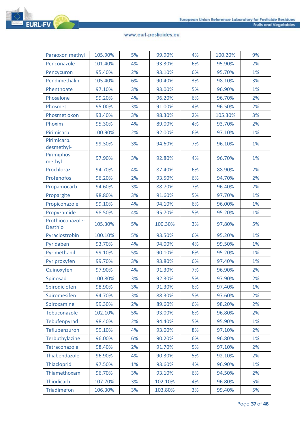# **EURL-FV**

| Paraoxon methyl                    | 105.90% | 5% | 99.90%  | 4% | 100.20% | 9% |
|------------------------------------|---------|----|---------|----|---------|----|
| Penconazole                        | 101.40% | 4% | 93.30%  | 6% | 95.90%  | 2% |
| Pencycuron                         | 95.40%  | 2% | 93.10%  | 6% | 95.70%  | 1% |
| Pendimethalin                      | 105.40% | 6% | 90.40%  | 3% | 98.10%  | 3% |
| Phenthoate                         | 97.10%  | 3% | 93.00%  | 5% | 96.90%  | 1% |
| Phosalone                          | 99.20%  | 4% | 96.20%  | 6% | 96.70%  | 2% |
| Phosmet                            | 95.00%  | 3% | 91.00%  | 4% | 96.50%  | 2% |
| Phosmet oxon                       | 93.40%  | 3% | 98.30%  | 2% | 105.30% | 3% |
| Phoxim                             | 95.30%  | 4% | 89.00%  | 4% | 93.70%  | 2% |
| Pirimicarb                         | 100.90% | 2% | 92.00%  | 6% | 97.10%  | 1% |
| Pirimicarb.<br>desmethyl-          | 99.30%  | 3% | 94.60%  | 7% | 96.10%  | 1% |
| Pirimiphos-<br>methyl              | 97.90%  | 3% | 92.80%  | 4% | 96.70%  | 1% |
| Prochloraz                         | 94.70%  | 4% | 87.40%  | 6% | 88.90%  | 2% |
| Profenofos                         | 96.20%  | 2% | 93.50%  | 6% | 94.70%  | 2% |
| Propamocarb                        | 94.60%  | 3% | 88.70%  | 7% | 96.40%  | 2% |
| Propargite                         | 98.80%  | 3% | 91.60%  | 5% | 97.70%  | 1% |
| Propiconazole                      | 99.10%  | 4% | 94.10%  | 6% | 96.00%  | 1% |
| Propyzamide                        | 98.50%  | 4% | 95.70%  | 5% | 95.20%  | 1% |
| Prothioconazole-<br><b>Desthio</b> | 105.30% | 5% | 100.30% | 3% | 97.80%  | 5% |
| Pyraclostrobin                     | 100.10% | 5% | 93.50%  | 6% | 95.20%  | 1% |
| Pyridaben                          | 93.70%  | 4% | 94.00%  | 4% | 99.50%  | 1% |
| Pyrimethanil                       | 99.10%  | 5% | 90.10%  | 6% | 95.20%  | 1% |
| Pyriproxyfen                       | 99.70%  | 3% | 93.80%  | 6% | 97.40%  | 1% |
| Quinoxyfen                         | 97.90%  | 4% | 91.30%  | 7% | 96.90%  | 2% |
| Spinosad                           | 100.80% | 3% | 92.30%  | 5% | 97.90%  | 2% |
| Spirodiclofen                      | 98.90%  | 3% | 91.30%  | 6% | 97.40%  | 1% |
| Spiromesifen                       | 94.70%  | 3% | 88.30%  | 5% | 97.60%  | 2% |
| Spiroxamine                        | 99.30%  | 2% | 89.60%  | 6% | 98.20%  | 2% |
| Tebuconazole                       | 102.10% | 5% | 93.00%  | 6% | 96.80%  | 2% |
| Tebufenpyrad                       | 98.40%  | 2% | 94.40%  | 5% | 95.90%  | 1% |
| Teflubenzuron                      | 99.10%  | 4% | 93.00%  | 8% | 97.10%  | 2% |
| Terbuthylazine                     | 96.00%  | 6% | 90.20%  | 6% | 96.80%  | 1% |
| Tetraconazole                      | 98.40%  | 2% | 91.70%  | 5% | 97.10%  | 2% |
| Thiabendazole                      | 96.90%  | 4% | 90.30%  | 5% | 92.10%  | 2% |
| Thiacloprid                        | 97.50%  | 1% | 93.60%  | 4% | 96.90%  | 1% |
| Thiamethoxam                       | 96.70%  | 3% | 93.10%  | 6% | 94.50%  | 2% |
| Thiodicarb                         | 107.70% | 3% | 102.10% | 4% | 96.80%  | 5% |
| <b>Triadimefon</b>                 | 106.30% | 3% | 103.80% | 3% | 99.40%  | 5% |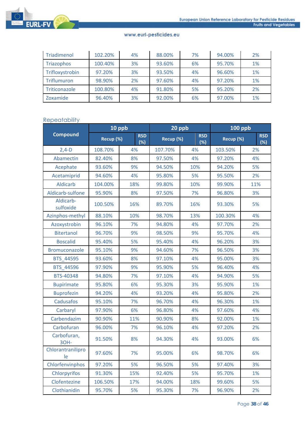

| Triadimenol       | 102.20% | 4% | 88.00% | 7% | 94.00% | 2% |
|-------------------|---------|----|--------|----|--------|----|
| <b>Triazophos</b> | 100.40% | 3% | 93.60% | 6% | 95.70% | 1% |
| Trifloxystrobin   | 97.20%  | 3% | 93.50% | 4% | 96.60% | 1% |
| Triflumuron       | 98.90%  | 2% | 97.60% | 4% | 97.20% | 1% |
| Triticonazole     | 100.80% | 4% | 91.80% | 5% | 95.20% | 2% |
| Zoxamide          | 96.40%  | 3% | 92.00% | 6% | 97.00% | 1% |

# Repeatability

|                         | 10 ppb    |                   | 20 ppb    |                   | <b>100 ppb</b> |                   |
|-------------------------|-----------|-------------------|-----------|-------------------|----------------|-------------------|
| <b>Compound</b>         | Recup (%) | <b>RSD</b><br>(%) | Recup (%) | <b>RSD</b><br>(%) | Recup (%)      | <b>RSD</b><br>(%) |
| $2,4-D$                 | 108.70%   | 4%                | 107.70%   | 4%                | 103.50%        | 2%                |
| Abamectin               | 82.40%    | 8%                | 97.50%    | 4%                | 97.20%         | 4%                |
| Acephate                | 93.60%    | 9%                | 94.50%    | 10%               | 94.20%         | 5%                |
| Acetamiprid             | 94.60%    | 4%                | 95.80%    | 5%                | 95.50%         | 2%                |
| <b>Aldicarb</b>         | 104.00%   | 18%               | 99.80%    | 10%               | 99.90%         | 11%               |
| Aldicarb-sulfone        | 95.90%    | 8%                | 97.50%    | 7%                | 96.80%         | 3%                |
| Aldicarb-<br>sulfoxide  | 100.50%   | 16%               | 89.70%    | 16%               | 93.30%         | 5%                |
| Azinphos-methyl         | 88.10%    | 10%               | 98.70%    | 13%               | 100.30%        | 4%                |
| Azoxystrobin            | 96.10%    | 7%                | 94.80%    | 4%                | 97.70%         | 2%                |
| <b>Bitertanol</b>       | 96.70%    | 9%                | 98.50%    | 9%                | 95.70%         | 4%                |
| <b>Boscalid</b>         | 95.40%    | 5%                | 95.40%    | 4%                | 96.20%         | 3%                |
| Bromuconazole           | 95.10%    | 9%                | 94.60%    | 7%                | 96.50%         | 3%                |
| BTS 44595               | 93.60%    | 8%                | 97.10%    | 4%                | 95.00%         | 3%                |
| BTS_44596               | 97.90%    | 9%                | 95.90%    | 5%                | 96.40%         | 4%                |
| BTS-40348               | 94.80%    | 7%                | 97.10%    | 4%                | 94.90%         | 5%                |
| <b>Bupirimate</b>       | 95.80%    | 6%                | 95.30%    | 3%                | 95.90%         | 1%                |
| <b>Buprofezin</b>       | 94.20%    | 4%                | 93.20%    | 4%                | 95.80%         | 2%                |
| Cadusafos               | 95.10%    | 7%                | 96.70%    | 4%                | 96.30%         | 1%                |
| Carbaryl                | 97.90%    | 6%                | 96.80%    | 4%                | 97.60%         | 4%                |
| Carbendazim             | 90.90%    | 11%               | 90.90%    | 8%                | 92.00%         | 1%                |
| Carbofuran              | 96.00%    | 7%                | 96.10%    | 4%                | 97.20%         | 2%                |
| Carbofuran,<br>30H-     | 91.50%    | 8%                | 94.30%    | 4%                | 93.00%         | 6%                |
| Chlorantranilipro<br>le | 97.60%    | 7%                | 95.00%    | 6%                | 98.70%         | 6%                |
| Chlorfenvinphos         | 97.20%    | 5%                | 96.50%    | 5%                | 97.40%         | 3%                |
| Chlorpyrifos            | 91.30%    | 15%               | 92.40%    | 5%                | 95.70%         | 1%                |
| Clofentezine            | 106.50%   | 17%               | 94.00%    | 18%               | 99.60%         | 5%                |
| Clothianidin            | 95.70%    | 5%                | 95.30%    | 7%                | 96.90%         | 2%                |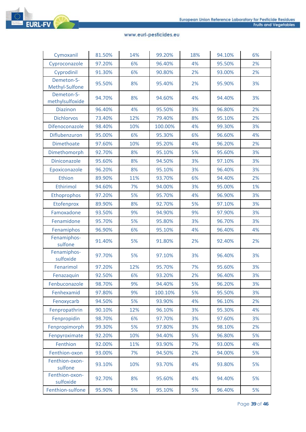

| Cymoxanil                     | 81.50% | 14% | 99.20%  | 18% | 94.10% | 6% |
|-------------------------------|--------|-----|---------|-----|--------|----|
| Cyproconazole                 | 97.20% | 6%  | 96.40%  | 4%  | 95.50% | 2% |
| Cyprodinil                    | 91.30% | 6%  | 90.80%  | 2%  | 93.00% | 2% |
| Demeton-S-<br>Methyl-Sulfone  | 95.50% | 8%  | 95.40%  | 2%  | 95.90% | 3% |
| Demeton-S-<br>methylsulfoxide | 94.70% | 8%  | 94.60%  | 4%  | 94.40% | 3% |
| <b>Diazinon</b>               | 96.40% | 4%  | 95.50%  | 3%  | 96.80% | 2% |
| <b>Dichlorvos</b>             | 73.40% | 12% | 79.40%  | 8%  | 95.10% | 2% |
| Difenoconazole                | 98.40% | 10% | 100.00% | 4%  | 99.30% | 3% |
| Diflubenzuron                 | 95.00% | 6%  | 95.30%  | 6%  | 96.60% | 4% |
| <b>Dimethoate</b>             | 97.60% | 10% | 95.20%  | 4%  | 96.20% | 2% |
| Dimethomorph                  | 92.70% | 8%  | 95.10%  | 5%  | 95.60% | 3% |
| Diniconazole                  | 95.60% | 8%  | 94.50%  | 3%  | 97.10% | 3% |
| Epoxiconazole                 | 96.20% | 8%  | 95.10%  | 3%  | 96.40% | 3% |
| Ethion                        | 89.90% | 11% | 93.70%  | 6%  | 94.40% | 2% |
| Ethirimol                     | 94.60% | 7%  | 94.00%  | 3%  | 95.00% | 1% |
| Ethoprophos                   | 97.20% | 5%  | 95.70%  | 4%  | 96.90% | 3% |
| Etofenprox                    | 89.90% | 8%  | 92.70%  | 5%  | 97.10% | 3% |
| Famoxadone                    | 93.50% | 9%  | 94.90%  | 9%  | 97.90% | 3% |
| Fenamidone                    | 95.70% | 5%  | 95.80%  | 3%  | 96.70% | 3% |
| Fenamiphos                    | 96.90% | 6%  | 95.10%  | 4%  | 96.40% | 4% |
| Fenamiphos-<br>sulfone        | 91.40% | 5%  | 91.80%  | 2%  | 92.40% | 2% |
| Fenamiphos-<br>sulfoxide      | 97.70% | 5%  | 97.10%  | 3%  | 96.40% | 3% |
| Fenarimol                     | 97.20% | 12% | 95.70%  | 7%  | 95.60% | 3% |
| Fenazaquin                    | 92.50% | 6%  | 93.20%  | 2%  | 96.40% | 3% |
| Fenbuconazole                 | 98.70% | 9%  | 94.40%  | 5%  | 96.20% | 3% |
| Fenhexamid                    | 97.80% | 9%  | 100.10% | 5%  | 95.50% | 3% |
| Fenoxycarb                    | 94.50% | 5%  | 93.90%  | 4%  | 96.10% | 2% |
| Fenpropathrin                 | 90.10% | 12% | 96.10%  | 3%  | 95.30% | 4% |
| Fenpropidin                   | 98.70% | 6%  | 97.70%  | 3%  | 97.60% | 3% |
| Fenpropimorph                 | 99.30% | 5%  | 97.80%  | 3%  | 98.10% | 2% |
| Fenpyroximate                 | 92.20% | 10% | 94.40%  | 5%  | 96.80% | 5% |
| Fenthion                      | 92.00% | 11% | 93.90%  | 7%  | 93.00% | 4% |
| Fenthion-oxon                 | 93.00% | 7%  | 94.50%  | 2%  | 94.00% | 5% |
| Fenthion-oxon-<br>sulfone     | 93.10% | 10% | 93.70%  | 4%  | 93.80% | 5% |
| Fenthion-oxon-<br>sulfoxide   | 92.70% | 8%  | 95.60%  | 4%  | 94.40% | 5% |
| Fenthion-sulfone              | 95.90% | 5%  | 95.10%  | 5%  | 96.40% | 5% |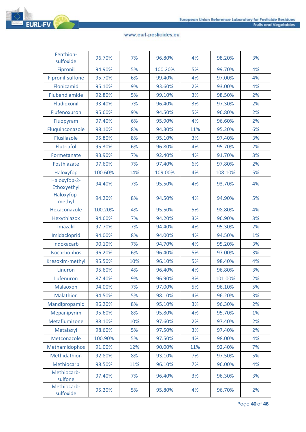

| Fenthion-<br>sulfoxide      | 96.70%  | 7%  | 96.80%  | 4%  | 98.20%  | 3% |
|-----------------------------|---------|-----|---------|-----|---------|----|
| Fipronil                    | 94.90%  | 5%  | 100.20% | 5%  | 99.70%  | 4% |
| Fipronil-sulfone            | 95.70%  | 6%  | 99.40%  | 4%  | 97.00%  | 4% |
| Flonicamid                  | 95.10%  | 9%  | 93.60%  | 2%  | 93.00%  | 4% |
| Flubendiamide               | 92.80%  | 5%  | 99.10%  | 3%  | 98.50%  | 2% |
| Fludioxonil                 | 93.40%  | 7%  | 96.40%  | 3%  | 97.30%  | 2% |
| Flufenoxuron                | 95.60%  | 9%  | 94.50%  | 5%  | 96.80%  | 2% |
| Fluopyram                   | 97.40%  | 6%  | 95.90%  | 4%  | 96.60%  | 2% |
| Fluquinconazole             | 98.10%  | 8%  | 94.30%  | 11% | 95.20%  | 6% |
| Flusilazole                 | 95.80%  | 8%  | 95.10%  | 3%  | 97.40%  | 3% |
| Flutriafol                  | 95.30%  | 6%  | 96.80%  | 4%  | 95.70%  | 2% |
| Formetanate                 | 93.90%  | 7%  | 92.40%  | 4%  | 91.70%  | 3% |
| Fosthiazate                 | 97.60%  | 7%  | 97.40%  | 6%  | 97.80%  | 2% |
| Haloxyfop                   | 100.60% | 14% | 109.00% | 4%  | 108.10% | 5% |
| Haloxyfop-2-<br>Ethoxyethyl | 94.40%  | 7%  | 95.50%  | 4%  | 93.70%  | 4% |
| Haloxyfop-<br>methyl        | 94.20%  | 8%  | 94.50%  | 4%  | 94.90%  | 5% |
| Hexaconazole                | 100.20% | 4%  | 95.50%  | 5%  | 98.80%  | 4% |
| Hexythiazox                 | 94.60%  | 7%  | 94.20%  | 3%  | 96.90%  | 3% |
| Imazalil                    | 97.70%  | 7%  | 94.40%  | 4%  | 95.30%  | 2% |
| Imidacloprid                | 94.00%  | 8%  | 94.00%  | 4%  | 94.50%  | 1% |
| Indoxacarb                  | 90.10%  | 7%  | 94.70%  | 4%  | 95.20%  | 3% |
| Isocarbophos                | 96.20%  | 6%  | 96.40%  | 5%  | 97.00%  | 3% |
| Kresoxim-methyl             | 95.50%  | 10% | 96.10%  | 5%  | 98.40%  | 4% |
| Linuron                     | 95.60%  | 4%  | 96.40%  | 4%  | 96.80%  | 3% |
| Lufenuron                   | 87.40%  | 9%  | 96.90%  | 3%  | 101.00% | 2% |
| Malaoxon                    | 94.00%  | 7%  | 97.00%  | 5%  | 96.10%  | 5% |
| Malathion                   | 94.50%  | 5%  | 98.10%  | 4%  | 96.20%  | 3% |
| Mandipropamid               | 96.20%  | 8%  | 95.10%  | 3%  | 96.30%  | 2% |
| Mepanipyrim                 | 95.60%  | 8%  | 95.80%  | 4%  | 95.70%  | 1% |
| Metaflumizone               | 88.10%  | 10% | 97.60%  | 2%  | 97.40%  | 2% |
| Metalaxyl                   | 98.60%  | 5%  | 97.50%  | 3%  | 97.40%  | 2% |
| Metconazole                 | 100.90% | 5%  | 97.50%  | 4%  | 98.00%  | 4% |
| Methamidophos               | 91.00%  | 12% | 90.00%  | 11% | 92.40%  | 7% |
| Methidathion                | 92.80%  | 8%  | 93.10%  | 7%  | 97.50%  | 5% |
| Methiocarb                  | 98.50%  | 11% | 96.10%  | 7%  | 96.00%  | 4% |
| Methiocarb-<br>sulfone      | 97.40%  | 7%  | 96.40%  | 3%  | 96.30%  | 3% |
| Methiocarb-<br>sulfoxide    | 95.20%  | 5%  | 95.80%  | 4%  | 96.70%  | 2% |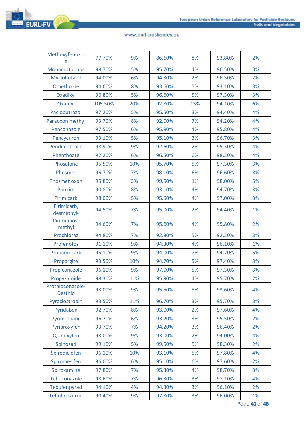

| Methoxyfenozid<br>e         | 77.70%  | 9%  | 86.60% | 8%  | 93.80% | 2% |
|-----------------------------|---------|-----|--------|-----|--------|----|
| Monocrotophos               | 98.70%  | 5%  | 95.70% | 4%  | 96.50% | 3% |
| Myclobutanil                | 94.00%  | 6%  | 94.30% | 2%  | 96.30% | 2% |
| Omethoate                   | 94.60%  | 8%  | 93.60% | 5%  | 93.10% | 3% |
| Oxadixyl                    | 96.80%  | 5%  | 96.60% | 5%  | 97.30% | 3% |
| Oxamyl                      | 105.50% | 20% | 92.80% | 13% | 94.10% | 6% |
| Paclobutrazol               | 97.20%  | 5%  | 95.50% | 3%  | 94.40% | 4% |
| Paraoxon methyl             | 93.70%  | 8%  | 92.00% | 7%  | 94.20% | 4% |
| Penconazole                 | 97.50%  | 6%  | 95.90% | 4%  | 95.80% | 4% |
| Pencycuron                  | 93.10%  | 5%  | 95.10% | 3%  | 96.70% | 3% |
| Pendimethalin               | 98.90%  | 9%  | 92.60% | 2%  | 95.30% | 4% |
| Phenthoate                  | 92.20%  | 6%  | 96.50% | 6%  | 98.20% | 4% |
| Phosalone                   | 95.50%  | 10% | 95.70% | 5%  | 97.30% | 3% |
| Phosmet                     | 96.70%  | 7%  | 98.10% | 6%  | 96.60% | 3% |
| Phosmet oxon                | 95.80%  | 3%  | 99.50% | 1%  | 98.00% | 5% |
| Phoxim                      | 90.80%  | 8%  | 93.10% | 4%  | 94.70% | 3% |
| Pirimicarb                  | 98.00%  | 5%  | 95.50% | 4%  | 97.00% | 3% |
| Pirimicarb,<br>desmethyl-   | 94.50%  | 7%  | 95.00% | 2%  | 94.40% | 1% |
| Pirimiphos-<br>methyl       | 94.60%  | 7%  | 95.60% | 4%  | 95.80% | 2% |
| Prochloraz                  | 94.80%  | 7%  | 92.80% | 5%  | 92.20% | 3% |
| Profenofos                  | 91.10%  | 9%  | 94.30% | 4%  | 96.10% | 1% |
| Propamocarb                 | 95.10%  | 9%  | 94.00% | 7%  | 94.70% | 5% |
| Propargite                  | 93.50%  | 10% | 94.70% | 5%  | 97.40% | 3% |
| Propiconazole               | 96.10%  | 9%  | 97.00% | 5%  | 97.30% | 3% |
| Propyzamide                 | 98.30%  | 11% | 95.90% | 4%  | 95.70% | 2% |
| Prothioconazole-<br>Desthio | 93.00%  | 9%  | 95.50% | 5%  | 93.60% | 4% |
| Pyraclostrobin              | 93.50%  | 11% | 96.70% | 3%  | 95.70% | 3% |
| Pyridaben                   | 92.70%  | 8%  | 93.00% | 2%  | 97.60% | 4% |
| Pyrimethanil                | 96.70%  | 6%  | 93.20% | 3%  | 95.50% | 2% |
| Pyriproxyfen                | 93.70%  | 7%  | 94.20% | 3%  | 96.40% | 2% |
| Quinoxyfen                  | 93.00%  | 9%  | 93.00% | 2%  | 94.00% | 4% |
| Spinosad                    | 99.10%  | 5%  | 99.50% | 5%  | 98.30% | 2% |
| Spirodiclofen               | 96.10%  | 10% | 93.10% | 5%  | 97.80% | 4% |
| Spiromesifen                | 96.00%  | 6%  | 95.10% | 6%  | 97.60% | 2% |
| Spiroxamine                 | 97.80%  | 7%  | 95.30% | 4%  | 98.70% | 3% |
| Tebuconazole                | 98.60%  | 7%  | 96.30% | 3%  | 97.10% | 4% |
| Tebufenpyrad                | 94.10%  | 4%  | 94.30% | 3%  | 96.10% | 2% |
| Teflubenzuron               | 90.40%  | 9%  | 97.80% | 3%  | 96.00% | 1% |

Page **41** of **46**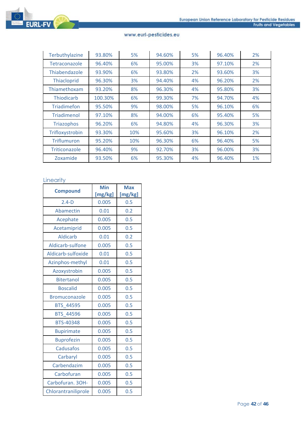

| Terbuthylazine     | 93.80%  | 5%  | 94.60% | 5% | 96.40% | 2% |
|--------------------|---------|-----|--------|----|--------|----|
| Tetraconazole      | 96.40%  | 6%  | 95.00% | 3% | 97.10% | 2% |
| Thiabendazole      | 93.90%  | 6%  | 93.80% | 2% | 93.60% | 3% |
| Thiacloprid        | 96.30%  | 3%  | 94.40% | 4% | 96.20% | 2% |
| Thiamethoxam       | 93.20%  | 8%  | 96.30% | 4% | 95.80% | 3% |
| <b>Thiodicarb</b>  | 100.30% | 6%  | 99.30% | 7% | 94.70% | 4% |
| <b>Triadimefon</b> | 95.50%  | 9%  | 98.00% | 5% | 96.10% | 6% |
| Triadimenol        | 97.10%  | 8%  | 94.00% | 6% | 95.40% | 5% |
| <b>Triazophos</b>  | 96.20%  | 6%  | 94.80% | 4% | 96.30% | 3% |
| Trifloxystrobin    | 93.30%  | 10% | 95.60% | 3% | 96.10% | 2% |
| Triflumuron        | 95.20%  | 10% | 96.30% | 6% | 96.40% | 5% |
| Triticonazole      | 96.40%  | 9%  | 92.70% | 3% | 96.00% | 3% |
| Zoxamide           | 93.50%  | 6%  | 95.30% | 4% | 96.40% | 1% |

# Linearity

| <b>Compound</b>      | Min<br>[mg/kg] | <b>Max</b><br>[mg/kg] |
|----------------------|----------------|-----------------------|
| $2.4-D$              | 0.005          | 0.5                   |
| Abamectin            | 0.01           | 0.2                   |
| Acephate             | 0.005          | 0.5                   |
| Acetamiprid          | 0.005          | 0.5                   |
| <b>Aldicarb</b>      | 0.01           | 0.2                   |
| Aldicarb-sulfone     | 0.005          | 0.5                   |
| Aldicarb-sulfoxide   | 0.01           | 0.5                   |
| Azinphos-methyl      | 0.01           | 0.5                   |
| Azoxystrobin         | 0.005          | 0.5                   |
| <b>Bitertanol</b>    | 0.005          | 0.5                   |
| <b>Boscalid</b>      | 0.005          | 0.5                   |
| <b>Bromuconazole</b> | 0.005          | 0.5                   |
| <b>BTS 44595</b>     | 0.005          | 0.5                   |
| <b>BTS 44596</b>     | 0.005          | 0.5                   |
| <b>BTS-40348</b>     | 0.005          | 0.5                   |
| <b>Bupirimate</b>    | 0.005          | 0.5                   |
| <b>Buprofezin</b>    | 0.005          | 0.5                   |
| <b>Cadusafos</b>     | 0.005          | 0.5                   |
| Carbaryl             | 0.005          | 0.5                   |
| Carbendazim          | 0.005          | 0.5                   |
| Carbofuran           | 0.005          | 0.5                   |
| Carbofuran. 3OH-     | 0.005          | 0.5                   |
| Chlorantraniliprole  | 0.005          | 0.5                   |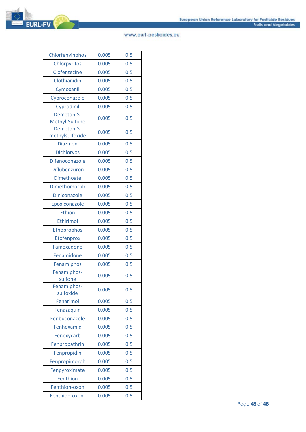

| Chlorfenvinphos          | 0.005 | 0.5 |
|--------------------------|-------|-----|
| Chlorpyrifos             | 0.005 | 0.5 |
| Clofentezine             | 0.005 | 0.5 |
| Clothianidin             | 0.005 | 0.5 |
| Cymoxanil                | 0.005 | 0.5 |
| Cyproconazole            | 0.005 | 0.5 |
| Cyprodinil               | 0.005 | 0.5 |
| Demeton-S-               |       | 0.5 |
| Methyl-Sulfone           | 0.005 |     |
| Demeton-S-               | 0.005 | 0.5 |
| methylsulfoxide          |       |     |
| <b>Diazinon</b>          | 0.005 | 0.5 |
| <b>Dichlorvos</b>        | 0.005 | 0.5 |
| Difenoconazole           | 0.005 | 0.5 |
| Diflubenzuron            | 0.005 | 0.5 |
| <b>Dimethoate</b>        | 0.005 | 0.5 |
| Dimethomorph             | 0.005 | 0.5 |
| <b>Diniconazole</b>      | 0.005 | 0.5 |
| Epoxiconazole            | 0.005 | 0.5 |
| <b>Ethion</b>            | 0.005 | 0.5 |
| <b>Ethirimol</b>         | 0.005 | 0.5 |
| Ethoprophos              | 0.005 | 0.5 |
| Etofenprox               | 0.005 | 0.5 |
| Famoxadone               | 0.005 | 0.5 |
| Fenamidone               | 0.005 | 0.5 |
| Fenamiphos               | 0.005 | 0.5 |
| Fenamiphos-<br>sulfone   | 0.005 | 0.5 |
| Fenamiphos-<br>sulfoxide | 0.005 | 0.5 |
| Fenarimol                | 0.005 | 0.5 |
| Fenazaquin               | 0.005 | 0.5 |
| Fenbuconazole            | 0.005 | 0.5 |
| Fenhexamid               | 0.005 | 0.5 |
| Fenoxycarb               | 0.005 | 0.5 |
| Fenpropathrin            | 0.005 | 0.5 |
| Fenpropidin              | 0.005 | 0.5 |
| Fenpropimorph            | 0.005 | 0.5 |
| Fenpyroximate            | 0.005 | 0.5 |
| Fenthion                 | 0.005 | 0.5 |
| Fenthion-oxon            | 0.005 | 0.5 |
| Fenthion-oxon-           | 0.005 | 0.5 |
|                          |       |     |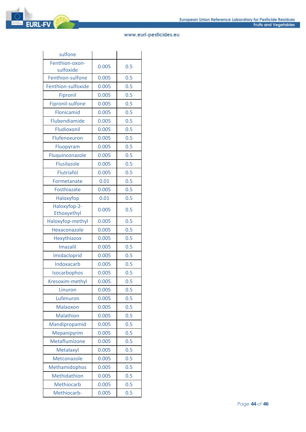| sulfone                     |       |     |
|-----------------------------|-------|-----|
| Fenthion-oxon-              | 0.005 | 0.5 |
| sulfoxide                   |       |     |
| Fenthion-sulfone            | 0.005 | 0.5 |
| Fenthion-sulfoxide          | 0.005 | 0.5 |
| Fipronil                    | 0.005 | 0.5 |
| Fipronil-sulfone            | 0.005 | 0.5 |
| Flonicamid                  | 0.005 | 0.5 |
| Flubendiamide               | 0.005 | 0.5 |
| Fludioxonil                 | 0.005 | 0.5 |
| Flufenoxuron                | 0.005 | 0.5 |
| Fluopyram                   | 0.005 | 0.5 |
| Fluquinconazole             | 0.005 | 0.5 |
| <b>Flusilazole</b>          | 0.005 | 0.5 |
| <b>Flutriafol</b>           | 0.005 | 0.5 |
| Formetanate                 | 0.01  | 0.5 |
| Fosthiazate                 | 0.005 | 0.5 |
| Haloxyfop                   | 0.01  | 0.5 |
| Haloxyfop-2-<br>Ethoxyethyl | 0.005 | 0.5 |
| Haloxyfop-methyl            | 0.005 | 0.5 |
| Hexaconazole                | 0.005 | 0.5 |
| Hexythiazox                 | 0.005 | 0.5 |
| <b>Imazalil</b>             | 0.005 | 0.5 |
| Imidacloprid                | 0.005 | 0.5 |
| Indoxacarb                  | 0.005 | 0.5 |
| Isocarbophos                | 0.005 | 0.5 |
| Kresoxim-methyl             | 0.005 | 0.5 |
| Linuron                     | 0.005 | 0.5 |
| Lufenuron                   | 0.005 | 0.5 |
| Malaoxon                    | 0.005 | 0.5 |
| Malathion                   | 0.005 | 0.5 |
| Mandipropamid               | 0.005 | 0.5 |
| Mepanipyrim                 | 0.005 | 0.5 |
| Metaflumizone               | 0.005 | 0.5 |
| Metalaxyl                   | 0.005 | 0.5 |
| Metconazole                 | 0.005 | 0.5 |
| Methamidophos               | 0.005 | 0.5 |
| Methidathion                | 0.005 | 0.5 |
| Methiocarb                  | 0.005 | 0.5 |
| Methiocarb-                 | 0.005 | 0.5 |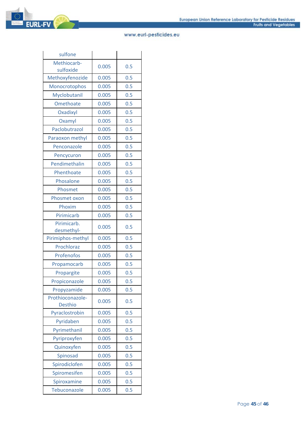| sulfone                            |       |     |
|------------------------------------|-------|-----|
| Methiocarb-<br>sulfoxide           | 0.005 | 0.5 |
| Methoxyfenozide                    | 0.005 | 0.5 |
| Monocrotophos                      | 0.005 | 0.5 |
| Myclobutanil                       | 0.005 | 0.5 |
| Omethoate                          | 0.005 | 0.5 |
| Oxadixyl                           | 0.005 | 0.5 |
| Oxamyl                             | 0.005 | 0.5 |
| Paclobutrazol                      | 0.005 | 0.5 |
| Paraoxon methyl                    | 0.005 | 0.5 |
| Penconazole                        | 0.005 | 0.5 |
| Pencycuron                         | 0.005 | 0.5 |
| Pendimethalin                      | 0.005 | 0.5 |
| Phenthoate                         | 0.005 | 0.5 |
| Phosalone                          | 0.005 | 0.5 |
| Phosmet                            | 0.005 | 0.5 |
| Phosmet oxon                       | 0.005 | 0.5 |
| Phoxim                             | 0.005 | 0.5 |
| Pirimicarb                         | 0.005 | 0.5 |
| Pirimicarb.<br>desmethyl-          | 0.005 | 0.5 |
| Pirimiphos-methyl                  | 0.005 | 0.5 |
| Prochloraz                         | 0.005 | 0.5 |
| Profenofos                         | 0.005 | 0.5 |
| Propamocarb                        | 0.005 | 0.5 |
| Propargite                         | 0.005 | 0.5 |
| Propiconazole                      | 0.005 | 0.5 |
| Propyzamide                        | 0.005 | 0.5 |
| Prothioconazole-<br><b>Desthio</b> | 0.005 | 0.5 |
| Pyraclostrobin                     | 0.005 | 0.5 |
| Pyridaben                          | 0.005 | 0.5 |
| Pyrimethanil                       | 0.005 | 0.5 |
| Pyriproxyfen                       | 0.005 | 0.5 |
| Quinoxyfen                         | 0.005 | 0.5 |
| Spinosad                           | 0.005 | 0.5 |
| Spirodiclofen                      | 0.005 | 0.5 |
| Spiromesifen                       | 0.005 | 0.5 |
| Spiroxamine                        | 0.005 | 0.5 |
| Tebuconazole                       | 0.005 | 0.5 |